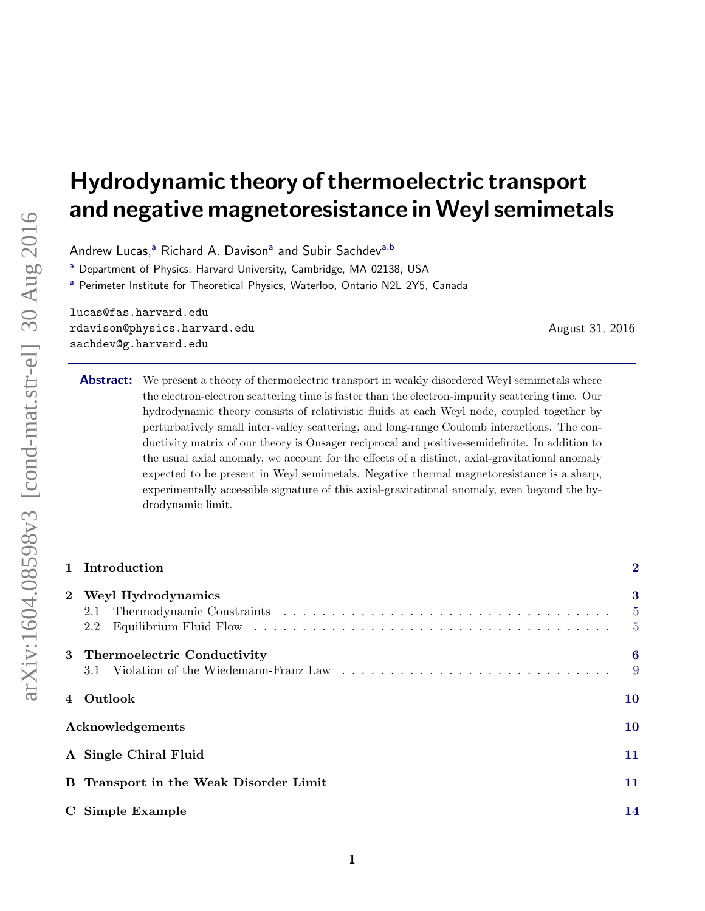# Hydrodynamic theory of thermoelectric transport and negative magnetoresistance in Weyl semimetals

Andrew Lucas,<sup>a</sup> Richard A. Davison<sup>a</sup> and Subir Sachdev<sup>a,b</sup>

<sup>a</sup> Department of Physics, Harvard University, Cambridge, MA 02138, USA

a Perimeter Institute for Theoretical Physics, Waterloo, Ontario N2L 2Y5, Canada

lucas@fas.harvard.edu rdavison@physics.harvard.edu sachdev@g.harvard.edu

August 31, 2016

Abstract: We present a theory of thermoelectric transport in weakly disordered Weyl semimetals where the electron-electron scattering time is faster than the electron-impurity scattering time. Our hydrodynamic theory consists of relativistic fluids at each Weyl node, coupled together by perturbatively small inter-valley scattering, and long-range Coulomb interactions. The conductivity matrix of our theory is Onsager reciprocal and positive-semidefinite. In addition to the usual axial anomaly, we account for the effects of a distinct, axial-gravitational anomaly expected to be present in Weyl semimetals. Negative thermal magnetoresistance is a sharp, experimentally accessible signature of this axial-gravitational anomaly, even beyond the hydrodynamic limit.

|                  | 1 Introduction                                                            | $\overline{2}$             |
|------------------|---------------------------------------------------------------------------|----------------------------|
| $2^{\circ}$      | Weyl Hydrodynamics<br>2.1<br>2.2                                          | $\bf{3}$<br>$\overline{5}$ |
|                  | 3 Thermoelectric Conductivity<br>3.1 Violation of the Wiedemann-Franz Law | 6<br>9                     |
|                  | Outlook                                                                   | 10                         |
| Acknowledgements |                                                                           | 10                         |
|                  | A Single Chiral Fluid                                                     | 11                         |
|                  | B Transport in the Weak Disorder Limit                                    | 11                         |
|                  | C Simple Example                                                          | 14                         |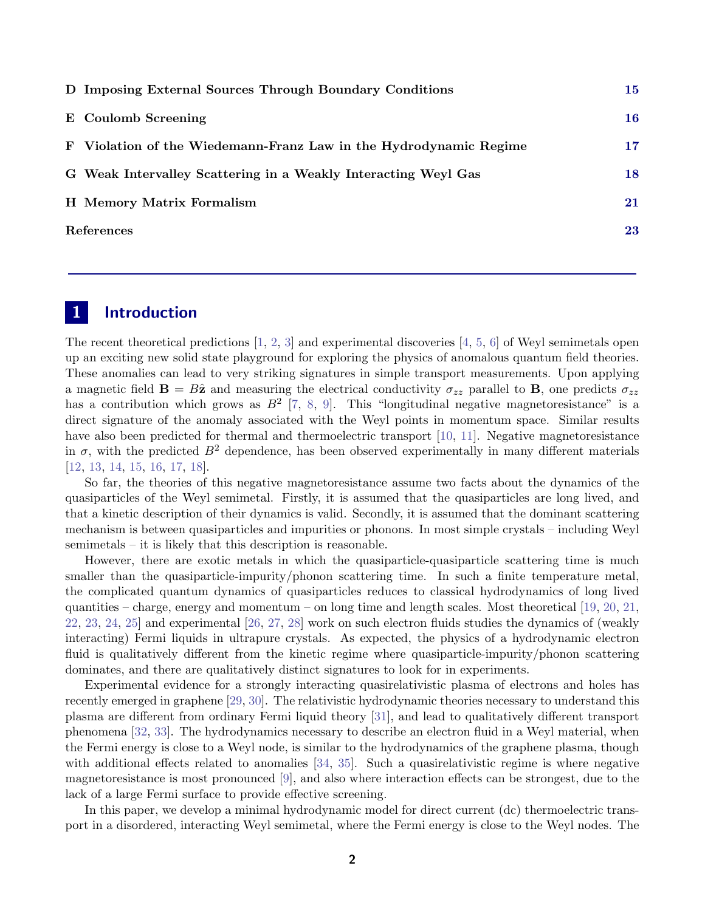|            | D Imposing External Sources Through Boundary Conditions           | 15        |
|------------|-------------------------------------------------------------------|-----------|
|            | E Coulomb Screening                                               | 16        |
|            | F Violation of the Wiedemann-Franz Law in the Hydrodynamic Regime | $\bf{17}$ |
|            | G Weak Intervalley Scattering in a Weakly Interacting Weyl Gas    | 18        |
|            | H Memory Matrix Formalism                                         | 21        |
| References |                                                                   | 23        |

# <span id="page-1-0"></span>1 Introduction

The recent theoretical predictions  $[1, 2, 3]$  $[1, 2, 3]$  $[1, 2, 3]$  $[1, 2, 3]$  $[1, 2, 3]$  and experimental discoveries  $[4, 5, 6]$  $[4, 5, 6]$  $[4, 5, 6]$  $[4, 5, 6]$  $[4, 5, 6]$  of Weyl semimetals open up an exciting new solid state playground for exploring the physics of anomalous quantum field theories. These anomalies can lead to very striking signatures in simple transport measurements. Upon applying a magnetic field  $\mathbf{B} = B\hat{\mathbf{z}}$  and measuring the electrical conductivity  $\sigma_{zz}$  parallel to **B**, one predicts  $\sigma_{zz}$ has a contribution which grows as  $B^2$  [\[7,](#page-22-7) [8,](#page-22-8) [9\]](#page-22-9). This "longitudinal negative magnetoresistance" is a direct signature of the anomaly associated with the Weyl points in momentum space. Similar results have also been predicted for thermal and thermoelectric transport [\[10,](#page-22-10) [11\]](#page-22-11). Negative magnetoresistance in  $\sigma$ , with the predicted  $B^2$  dependence, has been observed experimentally in many different materials [\[12,](#page-22-12) [13,](#page-22-13) [14,](#page-23-0) [15,](#page-23-1) [16,](#page-23-2) [17,](#page-23-3) [18\]](#page-23-4).

So far, the theories of this negative magnetoresistance assume two facts about the dynamics of the quasiparticles of the Weyl semimetal. Firstly, it is assumed that the quasiparticles are long lived, and that a kinetic description of their dynamics is valid. Secondly, it is assumed that the dominant scattering mechanism is between quasiparticles and impurities or phonons. In most simple crystals – including Weyl semimetals – it is likely that this description is reasonable.

However, there are exotic metals in which the quasiparticle-quasiparticle scattering time is much smaller than the quasiparticle-impurity/phonon scattering time. In such a finite temperature metal, the complicated quantum dynamics of quasiparticles reduces to classical hydrodynamics of long lived quantities – charge, energy and momentum – on long time and length scales. Most theoretical [\[19,](#page-23-5) [20,](#page-23-6) [21,](#page-23-7) [22,](#page-23-8) [23,](#page-23-9) [24,](#page-23-10) [25\]](#page-23-11) and experimental [\[26,](#page-23-12) [27,](#page-23-13) [28\]](#page-23-14) work on such electron fluids studies the dynamics of (weakly interacting) Fermi liquids in ultrapure crystals. As expected, the physics of a hydrodynamic electron fluid is qualitatively different from the kinetic regime where quasiparticle-impurity/phonon scattering dominates, and there are qualitatively distinct signatures to look for in experiments.

Experimental evidence for a strongly interacting quasirelativistic plasma of electrons and holes has recently emerged in graphene [\[29,](#page-23-15) [30\]](#page-23-16). The relativistic hydrodynamic theories necessary to understand this plasma are different from ordinary Fermi liquid theory [\[31\]](#page-24-0), and lead to qualitatively different transport phenomena [\[32,](#page-24-1) [33\]](#page-24-2). The hydrodynamics necessary to describe an electron fluid in a Weyl material, when the Fermi energy is close to a Weyl node, is similar to the hydrodynamics of the graphene plasma, though with additional effects related to anomalies [\[34,](#page-24-3) [35\]](#page-24-4). Such a quasirelativistic regime is where negative magnetoresistance is most pronounced [\[9\]](#page-22-9), and also where interaction effects can be strongest, due to the lack of a large Fermi surface to provide effective screening.

In this paper, we develop a minimal hydrodynamic model for direct current (dc) thermoelectric transport in a disordered, interacting Weyl semimetal, where the Fermi energy is close to the Weyl nodes. The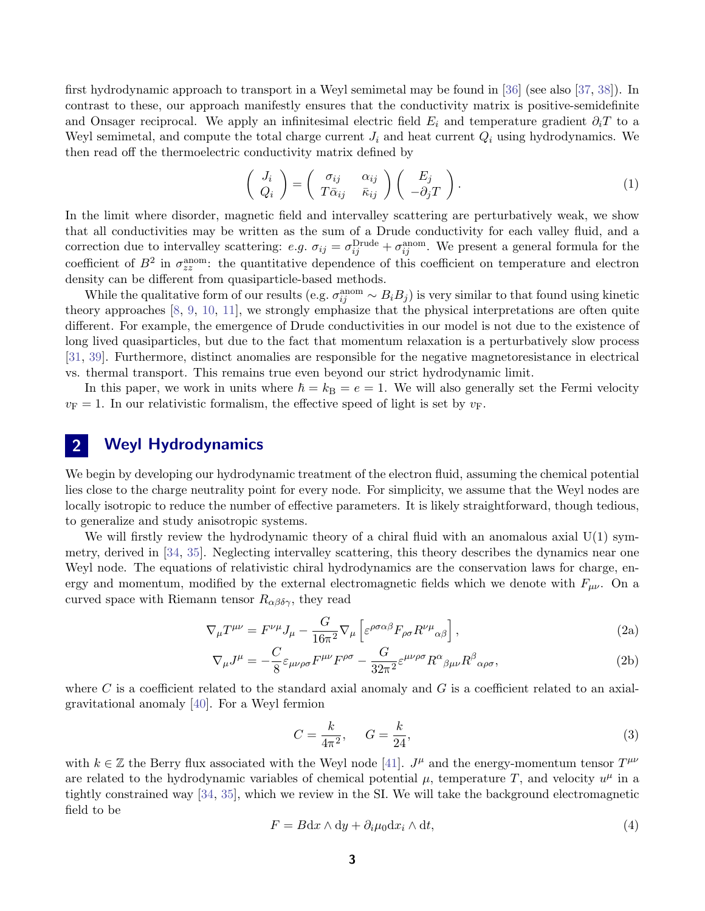first hydrodynamic approach to transport in a Weyl semimetal may be found in [\[36\]](#page-24-5) (see also [\[37,](#page-24-6) [38\]](#page-24-7)). In contrast to these, our approach manifestly ensures that the conductivity matrix is positive-semidefinite and Onsager reciprocal. We apply an infinitesimal electric field  $E_i$  and temperature gradient  $\partial_i T$  to a Weyl semimetal, and compute the total charge current  $J_i$  and heat current  $Q_i$  using hydrodynamics. We then read off the thermoelectric conductivity matrix defined by

<span id="page-2-1"></span>
$$
\begin{pmatrix} J_i \\ Q_i \end{pmatrix} = \begin{pmatrix} \sigma_{ij} & \alpha_{ij} \\ T\bar{\alpha}_{ij} & \bar{\kappa}_{ij} \end{pmatrix} \begin{pmatrix} E_j \\ -\partial_j T \end{pmatrix}.
$$
 (1)

In the limit where disorder, magnetic field and intervalley scattering are perturbatively weak, we show that all conductivities may be written as the sum of a Drude conductivity for each valley fluid, and a correction due to intervalley scattering: e.g.  $\sigma_{ij} = \sigma_{ij}^{\text{Drude}} + \sigma_{ij}^{\text{anom}}$ . We present a general formula for the coefficient of  $B^2$  in  $\sigma_{zz}^{\text{anom}}$ : the quantitative dependence of this coefficient on temperature and electron density can be different from quasiparticle-based methods.

While the qualitative form of our results (e.g.  $\sigma_{ij}^{\text{anom}} \sim B_i B_j$ ) is very similar to that found using kinetic theory approaches [\[8,](#page-22-8) [9,](#page-22-9) [10,](#page-22-10) [11\]](#page-22-11), we strongly emphasize that the physical interpretations are often quite different. For example, the emergence of Drude conductivities in our model is not due to the existence of long lived quasiparticles, but due to the fact that momentum relaxation is a perturbatively slow process [\[31,](#page-24-0) [39\]](#page-24-8). Furthermore, distinct anomalies are responsible for the negative magnetoresistance in electrical vs. thermal transport. This remains true even beyond our strict hydrodynamic limit.

<span id="page-2-0"></span>In this paper, we work in units where  $\hbar = k_B = e = 1$ . We will also generally set the Fermi velocity  $v_F = 1$ . In our relativistic formalism, the effective speed of light is set by  $v_F$ .

# 2 Weyl Hydrodynamics

We begin by developing our hydrodynamic treatment of the electron fluid, assuming the chemical potential lies close to the charge neutrality point for every node. For simplicity, we assume that the Weyl nodes are locally isotropic to reduce the number of effective parameters. It is likely straightforward, though tedious, to generalize and study anisotropic systems.

We will firstly review the hydrodynamic theory of a chiral fluid with an anomalous axial  $U(1)$  symmetry, derived in [\[34,](#page-24-3) [35\]](#page-24-4). Neglecting intervalley scattering, this theory describes the dynamics near one Weyl node. The equations of relativistic chiral hydrodynamics are the conservation laws for charge, energy and momentum, modified by the external electromagnetic fields which we denote with  $F_{\mu\nu}$ . On a curved space with Riemann tensor  $R_{\alpha\beta\delta\gamma}$ , they read

$$
\nabla_{\mu}T^{\mu\nu} = F^{\nu\mu}J_{\mu} - \frac{G}{16\pi^2}\nabla_{\mu}\left[\varepsilon^{\rho\sigma\alpha\beta}F_{\rho\sigma}R^{\nu\mu}{}_{\alpha\beta}\right],\tag{2a}
$$

$$
\nabla_{\mu}J^{\mu} = -\frac{C}{8}\varepsilon_{\mu\nu\rho\sigma}F^{\mu\nu}F^{\rho\sigma} - \frac{G}{32\pi^{2}}\varepsilon^{\mu\nu\rho\sigma}R^{\alpha}{}_{\beta\mu\nu}R^{\beta}{}_{\alpha\rho\sigma},\tag{2b}
$$

where C is a coefficient related to the standard axial anomaly and G is a coefficient related to an axialgravitational anomaly [\[40\]](#page-24-9). For a Weyl fermion

$$
C = \frac{k}{4\pi^2}, \qquad G = \frac{k}{24},\tag{3}
$$

with  $k \in \mathbb{Z}$  the Berry flux associated with the Weyl node [\[41\]](#page-24-10).  $J^{\mu}$  and the energy-momentum tensor  $T^{\mu\nu}$ are related to the hydrodynamic variables of chemical potential  $\mu$ , temperature T, and velocity  $u^{\mu}$  in a tightly constrained way [\[34,](#page-24-3) [35\]](#page-24-4), which we review in the SI. We will take the background electromagnetic field to be

$$
F = Bdx \wedge dy + \partial_i \mu_0 dx_i \wedge dt,
$$
\n<sup>(4)</sup>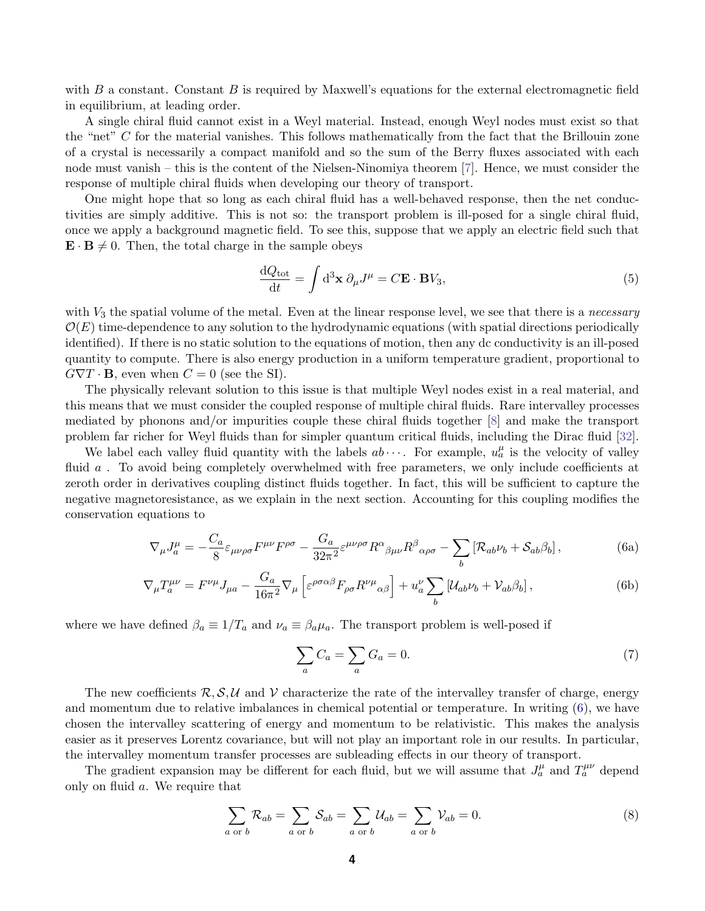with  $B$  a constant. Constant  $B$  is required by Maxwell's equations for the external electromagnetic field in equilibrium, at leading order.

A single chiral fluid cannot exist in a Weyl material. Instead, enough Weyl nodes must exist so that the "net" C for the material vanishes. This follows mathematically from the fact that the Brillouin zone of a crystal is necessarily a compact manifold and so the sum of the Berry fluxes associated with each node must vanish – this is the content of the Nielsen-Ninomiya theorem [\[7\]](#page-22-7). Hence, we must consider the response of multiple chiral fluids when developing our theory of transport.

One might hope that so long as each chiral fluid has a well-behaved response, then the net conductivities are simply additive. This is not so: the transport problem is ill-posed for a single chiral fluid, once we apply a background magnetic field. To see this, suppose that we apply an electric field such that  $\mathbf{E} \cdot \mathbf{B} \neq 0$ . Then, the total charge in the sample obeys

$$
\frac{\mathrm{d}Q_{\text{tot}}}{\mathrm{d}t} = \int \mathrm{d}^3 \mathbf{x} \ \partial_\mu J^\mu = C \mathbf{E} \cdot \mathbf{B} V_3,\tag{5}
$$

with  $V_3$  the spatial volume of the metal. Even at the linear response level, we see that there is a *necessary*  $\mathcal{O}(E)$  time-dependence to any solution to the hydrodynamic equations (with spatial directions periodically identified). If there is no static solution to the equations of motion, then any dc conductivity is an ill-posed quantity to compute. There is also energy production in a uniform temperature gradient, proportional to  $G\nabla T \cdot \mathbf{B}$ , even when  $C = 0$  (see the SI).

The physically relevant solution to this issue is that multiple Weyl nodes exist in a real material, and this means that we must consider the coupled response of multiple chiral fluids. Rare intervalley processes mediated by phonons and/or impurities couple these chiral fluids together [\[8\]](#page-22-8) and make the transport problem far richer for Weyl fluids than for simpler quantum critical fluids, including the Dirac fluid [\[32\]](#page-24-1).

We label each valley fluid quantity with the labels  $ab \cdots$ . For example,  $u_a^{\mu}$  is the velocity of valley fluid a. To avoid being completely overwhelmed with free parameters, we only include coefficients at zeroth order in derivatives coupling distinct fluids together. In fact, this will be sufficient to capture the negative magnetoresistance, as we explain in the next section. Accounting for this coupling modifies the conservation equations to

<span id="page-3-0"></span>
$$
\nabla_{\mu}J^{\mu}_{a} = -\frac{C_{a}}{8}\varepsilon_{\mu\nu\rho\sigma}F^{\mu\nu}F^{\rho\sigma} - \frac{G_{a}}{32\pi^{2}}\varepsilon^{\mu\nu\rho\sigma}R^{\alpha}{}_{\beta\mu\nu}R^{\beta}{}_{\alpha\rho\sigma} - \sum_{b} \left[\mathcal{R}_{ab}\nu_{b} + \mathcal{S}_{ab}\beta_{b}\right],\tag{6a}
$$

$$
\nabla_{\mu}T_{a}^{\mu\nu} = F^{\nu\mu}J_{\mu a} - \frac{G_a}{16\pi^2}\nabla_{\mu}\left[\varepsilon^{\rho\sigma\alpha\beta}F_{\rho\sigma}R^{\nu\mu}{}_{\alpha\beta}\right] + u_a^{\nu}\sum_b\left[\mathcal{U}_{ab}\nu_b + \mathcal{V}_{ab}\beta_b\right],\tag{6b}
$$

where we have defined  $\beta_a \equiv 1/T_a$  and  $\nu_a \equiv \beta_a \mu_a$ . The transport problem is well-posed if

<span id="page-3-2"></span>
$$
\sum_{a} C_a = \sum_{a} G_a = 0. \tag{7}
$$

The new coefficients  $\mathcal{R}, \mathcal{S}, \mathcal{U}$  and V characterize the rate of the intervalley transfer of charge, energy and momentum due to relative imbalances in chemical potential or temperature. In writing [\(6\)](#page-3-0), we have chosen the intervalley scattering of energy and momentum to be relativistic. This makes the analysis easier as it preserves Lorentz covariance, but will not play an important role in our results. In particular, the intervalley momentum transfer processes are subleading effects in our theory of transport.

The gradient expansion may be different for each fluid, but we will assume that  $J_a^{\mu}$  and  $T_a^{\mu\nu}$  depend only on fluid a. We require that

<span id="page-3-1"></span>
$$
\sum_{a \text{ or } b} \mathcal{R}_{ab} = \sum_{a \text{ or } b} \mathcal{S}_{ab} = \sum_{a \text{ or } b} \mathcal{U}_{ab} = \sum_{a \text{ or } b} \mathcal{V}_{ab} = 0.
$$
 (8)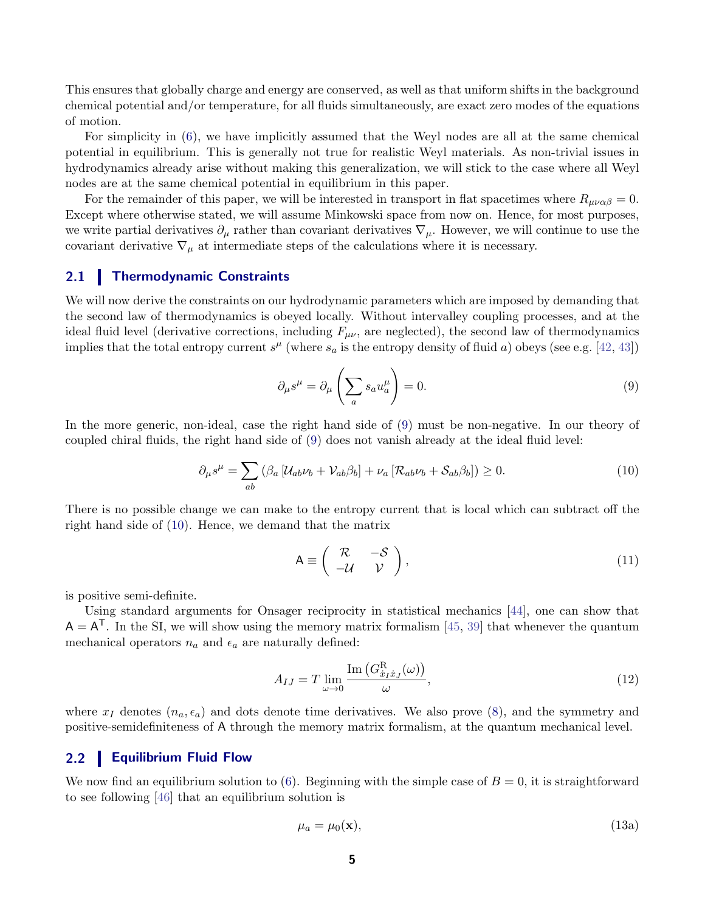This ensures that globally charge and energy are conserved, as well as that uniform shifts in the background chemical potential and/or temperature, for all fluids simultaneously, are exact zero modes of the equations of motion.

For simplicity in [\(6\)](#page-3-0), we have implicitly assumed that the Weyl nodes are all at the same chemical potential in equilibrium. This is generally not true for realistic Weyl materials. As non-trivial issues in hydrodynamics already arise without making this generalization, we will stick to the case where all Weyl nodes are at the same chemical potential in equilibrium in this paper.

For the remainder of this paper, we will be interested in transport in flat spacetimes where  $R_{\mu\nu\alpha\beta} = 0$ . Except where otherwise stated, we will assume Minkowski space from now on. Hence, for most purposes, we write partial derivatives  $\partial_\mu$  rather than covariant derivatives  $\nabla_\mu$ . However, we will continue to use the covariant derivative  $\nabla_{\mu}$  at intermediate steps of the calculations where it is necessary.

### <span id="page-4-0"></span>2.1 Thermodynamic Constraints

We will now derive the constraints on our hydrodynamic parameters which are imposed by demanding that the second law of thermodynamics is obeyed locally. Without intervalley coupling processes, and at the ideal fluid level (derivative corrections, including  $F_{\mu\nu}$ , are neglected), the second law of thermodynamics implies that the total entropy current  $s^{\mu}$  (where  $s_a$  is the entropy density of fluid a) obeys (see e.g. [\[42,](#page-24-11) [43\]](#page-24-12))

<span id="page-4-2"></span>
$$
\partial_{\mu}s^{\mu} = \partial_{\mu}\left(\sum_{a} s_{a}u_{a}^{\mu}\right) = 0. \tag{9}
$$

In the more generic, non-ideal, case the right hand side of [\(9\)](#page-4-2) must be non-negative. In our theory of coupled chiral fluids, the right hand side of [\(9\)](#page-4-2) does not vanish already at the ideal fluid level:

<span id="page-4-3"></span>
$$
\partial_{\mu}s^{\mu} = \sum_{ab} \left( \beta_a \left[ \mathcal{U}_{ab} \nu_b + \mathcal{V}_{ab} \beta_b \right] + \nu_a \left[ \mathcal{R}_{ab} \nu_b + \mathcal{S}_{ab} \beta_b \right] \right) \ge 0. \tag{10}
$$

There is no possible change we can make to the entropy current that is local which can subtract off the right hand side of [\(10\)](#page-4-3). Hence, we demand that the matrix

$$
A \equiv \begin{pmatrix} R & -S \\ -U & V \end{pmatrix}, \tag{11}
$$

is positive semi-definite.

Using standard arguments for Onsager reciprocity in statistical mechanics [\[44\]](#page-24-13), one can show that  $A = A^{T}$ . In the SI, we will show using the memory matrix formalism [\[45,](#page-24-14) [39\]](#page-24-8) that whenever the quantum mechanical operators  $n_a$  and  $\epsilon_a$  are naturally defined:

$$
A_{IJ} = T \lim_{\omega \to 0} \frac{\text{Im}\left(G_{x_I \dot{x}_J}^{\text{R}}(\omega)\right)}{\omega},\tag{12}
$$

where  $x_I$  denotes  $(n_a, \epsilon_a)$  and dots denote time derivatives. We also prove [\(8\)](#page-3-1), and the symmetry and positive-semidefiniteness of A through the memory matrix formalism, at the quantum mechanical level.

#### <span id="page-4-1"></span>2.2 Equilibrium Fluid Flow

We now find an equilibrium solution to [\(6\)](#page-3-0). Beginning with the simple case of  $B = 0$ , it is straightforward to see following [\[46\]](#page-24-15) that an equilibrium solution is

$$
\mu_a = \mu_0(\mathbf{x}),\tag{13a}
$$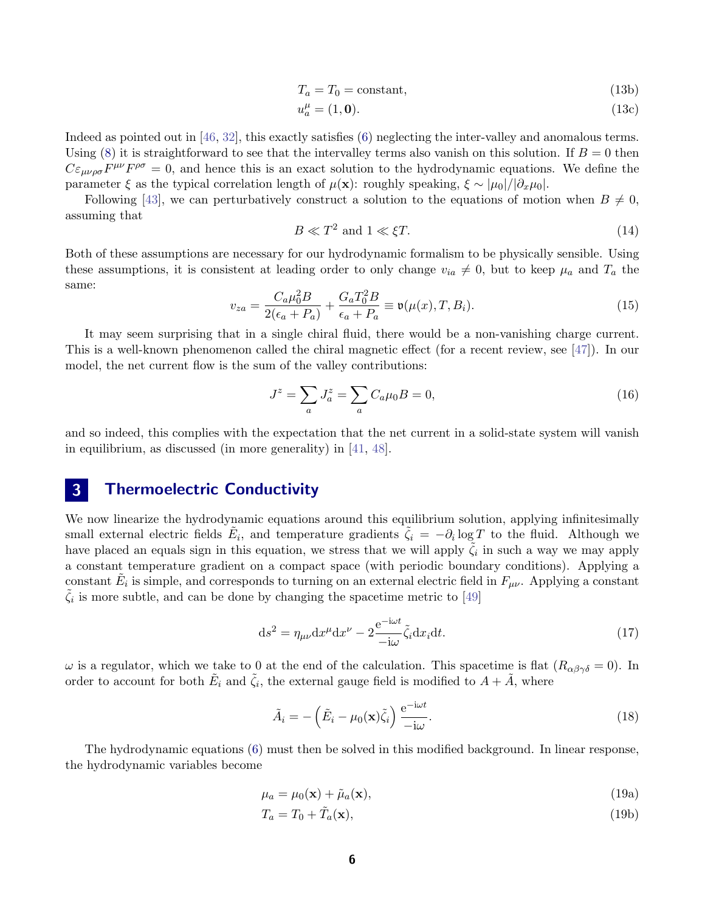$$
T_a = T_0 = \text{constant},\tag{13b}
$$

$$
u_a^{\mu} = (1, \mathbf{0}). \tag{13c}
$$

Indeed as pointed out in [\[46,](#page-24-15) [32\]](#page-24-1), this exactly satisfies [\(6\)](#page-3-0) neglecting the inter-valley and anomalous terms. Using [\(8\)](#page-3-1) it is straightforward to see that the intervalley terms also vanish on this solution. If  $B = 0$  then  $C\varepsilon_{\mu\nu\rho\sigma}F^{\mu\nu}F^{\rho\sigma}=0$ , and hence this is an exact solution to the hydrodynamic equations. We define the parameter  $\xi$  as the typical correlation length of  $\mu(\mathbf{x})$ : roughly speaking,  $\xi \sim |\mu_0|/|\partial_x \mu_0|$ .

Following [\[43\]](#page-24-12), we can perturbatively construct a solution to the equations of motion when  $B \neq 0$ , assuming that

$$
B \ll T^2 \text{ and } 1 \ll \xi T. \tag{14}
$$

Both of these assumptions are necessary for our hydrodynamic formalism to be physically sensible. Using these assumptions, it is consistent at leading order to only change  $v_{ia} \neq 0$ , but to keep  $\mu_a$  and  $T_a$  the same:

<span id="page-5-1"></span>
$$
v_{za} = \frac{C_a \mu_0^2 B}{2(\epsilon_a + P_a)} + \frac{G_a T_0^2 B}{\epsilon_a + P_a} \equiv \mathfrak{v}(\mu(x), T, B_i).
$$
 (15)

It may seem surprising that in a single chiral fluid, there would be a non-vanishing charge current. This is a well-known phenomenon called the chiral magnetic effect (for a recent review, see [\[47\]](#page-24-16)). In our model, the net current flow is the sum of the valley contributions:

$$
J^{z} = \sum_{a} J_{a}^{z} = \sum_{a} C_{a} \mu_{0} B = 0, \qquad (16)
$$

<span id="page-5-0"></span>and so indeed, this complies with the expectation that the net current in a solid-state system will vanish in equilibrium, as discussed (in more generality) in [\[41,](#page-24-10) [48\]](#page-24-17).

# 3 Thermoelectric Conductivity

We now linearize the hydrodynamic equations around this equilibrium solution, applying infinitesimally small external electric fields  $\tilde{E}_i$ , and temperature gradients  $\tilde{\zeta}_i = -\partial_i \log T$  to the fluid. Although we have placed an equals sign in this equation, we stress that we will apply  $\tilde{\zeta}_i$  in such a way we may apply a constant temperature gradient on a compact space (with periodic boundary conditions). Applying a constant  $\tilde{E}_i$  is simple, and corresponds to turning on an external electric field in  $F_{\mu\nu}$ . Applying a constant  $\tilde{\zeta}_i$  is more subtle, and can be done by changing the spacetime metric to [\[49\]](#page-25-0)

$$
ds^{2} = \eta_{\mu\nu} dx^{\mu} dx^{\nu} - 2 \frac{e^{-i\omega t}}{-i\omega} \tilde{\zeta}_{i} dx_{i} dt.
$$
 (17)

ω is a regulator, which we take to 0 at the end of the calculation. This spacetime is flat  $(R_{\alpha\beta\gamma\delta} = 0)$ . In order to account for both  $\tilde{E}_i$  and  $\tilde{\zeta}_i$ , the external gauge field is modified to  $A + \tilde{A}$ , where

$$
\tilde{A}_i = -\left(\tilde{E}_i - \mu_0(\mathbf{x})\tilde{\zeta}_i\right) \frac{e^{-i\omega t}}{-i\omega}.\tag{18}
$$

The hydrodynamic equations [\(6\)](#page-3-0) must then be solved in this modified background. In linear response, the hydrodynamic variables become

$$
\mu_a = \mu_0(\mathbf{x}) + \tilde{\mu}_a(\mathbf{x}),\tag{19a}
$$

$$
T_a = T_0 + \tilde{T}_a(\mathbf{x}),\tag{19b}
$$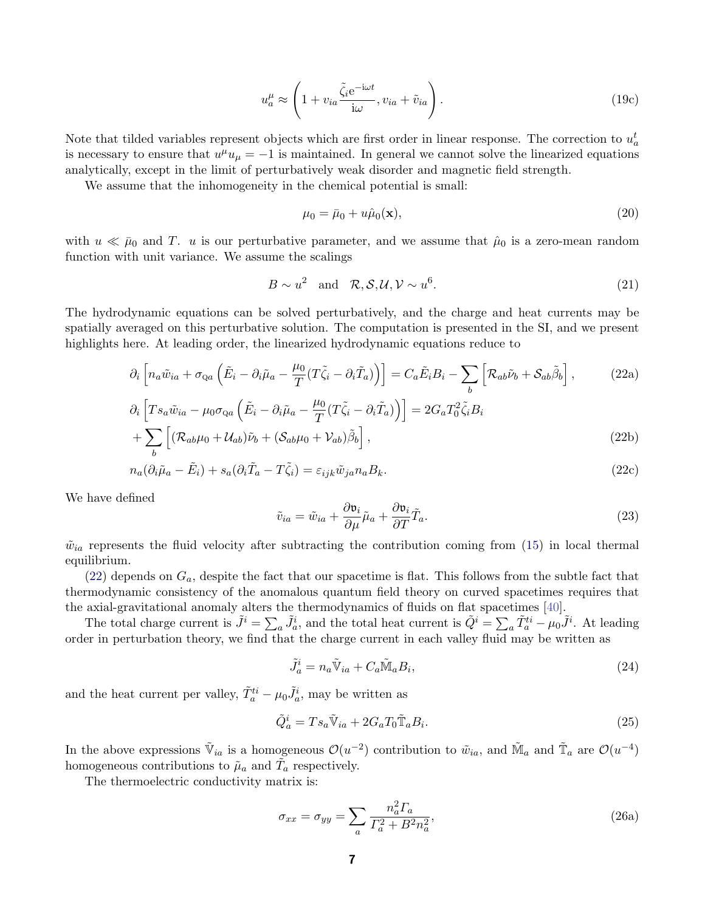$$
u_a^{\mu} \approx \left(1 + v_{ia} \frac{\tilde{\zeta}_i e^{-i\omega t}}{i\omega}, v_{ia} + \tilde{v}_{ia}\right). \tag{19c}
$$

Note that tilded variables represent objects which are first order in linear response. The correction to  $u_a^t$ is necessary to ensure that  $u^{\mu}u_{\mu} = -1$  is maintained. In general we cannot solve the linearized equations analytically, except in the limit of perturbatively weak disorder and magnetic field strength.

We assume that the inhomogeneity in the chemical potential is small:

<span id="page-6-0"></span>
$$
\mu_0 = \bar{\mu}_0 + u\hat{\mu}_0(\mathbf{x}),\tag{20}
$$

with  $u \ll \bar{\mu}_0$  and T. u is our perturbative parameter, and we assume that  $\hat{\mu}_0$  is a zero-mean random function with unit variance. We assume the scalings

<span id="page-6-1"></span>
$$
B \sim u^2 \quad \text{and} \quad \mathcal{R}, \mathcal{S}, \mathcal{U}, \mathcal{V} \sim u^6. \tag{21}
$$

The hydrodynamic equations can be solved perturbatively, and the charge and heat currents may be spatially averaged on this perturbative solution. The computation is presented in the SI, and we present highlights here. At leading order, the linearized hydrodynamic equations reduce to

$$
\partial_{i}\left[n_{a}\tilde{w}_{ia}+\sigma_{Qa}\left(\tilde{E}_{i}-\partial_{i}\tilde{\mu}_{a}-\frac{\mu_{0}}{T}(T\tilde{\zeta}_{i}-\partial_{i}\tilde{T}_{a})\right)\right]=C_{a}\tilde{E}_{i}B_{i}-\sum_{b}\left[\mathcal{R}_{ab}\tilde{\nu}_{b}+\mathcal{S}_{ab}\tilde{\beta}_{b}\right],
$$
\n(22a)  
\n
$$
\partial_{i}\left[Ts_{a}\tilde{w}_{ia}-\mu_{0}\sigma_{Qa}\left(\tilde{E}_{i}-\partial_{i}\tilde{\mu}_{a}-\frac{\mu_{0}}{T}(T\tilde{\zeta}_{i}-\partial_{i}\tilde{T}_{a})\right)\right]=2G_{a}T_{0}^{2}\tilde{\zeta}_{i}B_{i}
$$
\n
$$
+\sum\left[(\mathcal{R}_{ab}\mu_{0}+\mathcal{U}_{ab})\tilde{\nu}_{b}+(\mathcal{S}_{ab}\mu_{0}+\mathcal{V}_{ab})\tilde{\beta}_{b}\right],
$$
\n(22b)

$$
h_{a}(\partial_{i}\tilde{\mu}_{a} - \tilde{E}_{i}) + s_{a}(\partial_{i}\tilde{T}_{a} - T\tilde{\zeta}_{i}) = \varepsilon_{ijk}\tilde{w}_{ja}n_{a}B_{k}.
$$
\n(22c)

We have defined

$$
\tilde{v}_{ia} = \tilde{w}_{ia} + \frac{\partial \mathfrak{v}_i}{\partial \mu} \tilde{\mu}_a + \frac{\partial \mathfrak{v}_i}{\partial T} \tilde{T}_a.
$$
\n(23)

 $\tilde{w}_{ia}$  represents the fluid velocity after subtracting the contribution coming from [\(15\)](#page-5-1) in local thermal equilibrium.

 $(22)$  depends on  $G_a$ , despite the fact that our spacetime is flat. This follows from the subtle fact that thermodynamic consistency of the anomalous quantum field theory on curved spacetimes requires that the axial-gravitational anomaly alters the thermodynamics of fluids on flat spacetimes [\[40\]](#page-24-9).

The total charge current is  $\tilde{J}^i = \sum_a \tilde{J}_a^i$ , and the total heat current is  $\tilde{Q}^i = \sum_a \tilde{T}_a^{ti} - \mu_0 \tilde{J}^i$ . At leading order in perturbation theory, we find that the charge current in each valley fluid may be written as

$$
\tilde{J}_a^i = n_a \tilde{\mathbb{V}}_{ia} + C_a \tilde{\mathbb{M}}_a B_i,\tag{24}
$$

and the heat current per valley,  $\tilde{T}_a^{ti} - \mu_0 \tilde{J}_a^i$ , may be written as

$$
\tilde{Q}_a^i = Ts_a \tilde{\mathbb{V}}_{ia} + 2G_a T_0 \tilde{\mathbb{T}}_a B_i.
$$
\n(25)

In the above expressions  $\tilde{\mathbb{V}}_{ia}$  is a homogeneous  $\mathcal{O}(u^{-2})$  contribution to  $\tilde{w}_{ia}$ , and  $\tilde{\mathbb{N}}_a$  and  $\tilde{\mathbb{T}}_a$  are  $\mathcal{O}(u^{-4})$ homogeneous contributions to  $\tilde{\mu}_a$  and  $\tilde{T}_a$  respectively.

The thermoelectric conductivity matrix is:

<span id="page-6-2"></span>
$$
\sigma_{xx} = \sigma_{yy} = \sum_{a} \frac{n_a^2 \Gamma_a}{\Gamma_a^2 + B^2 n_a^2},\tag{26a}
$$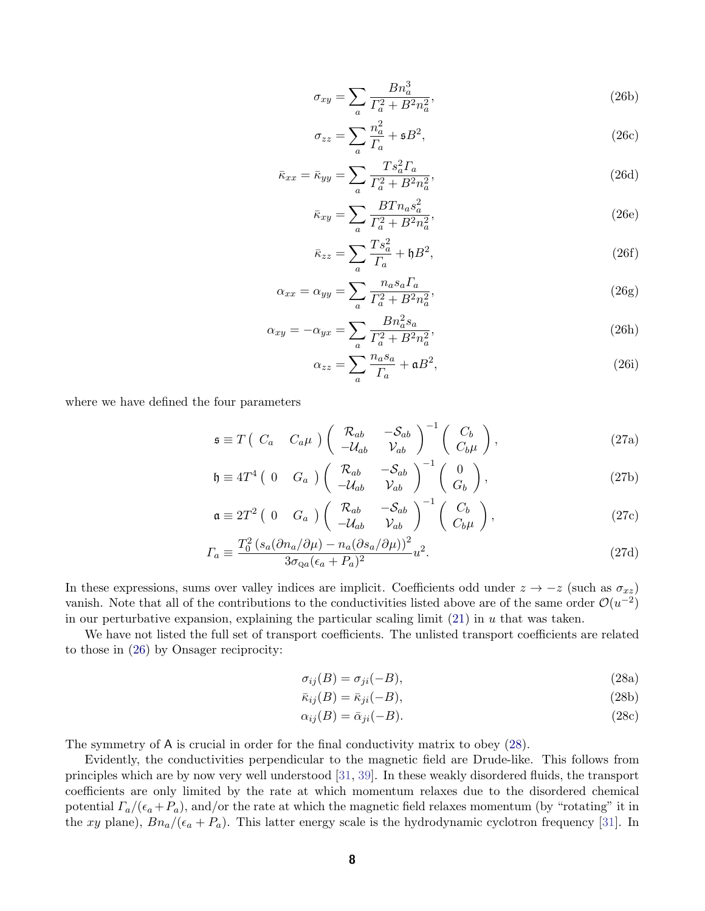$$
\sigma_{xy} = \sum_{a} \frac{B n_a^3}{\Gamma_a^2 + B^2 n_a^2},\tag{26b}
$$

$$
\sigma_{zz} = \sum_{a} \frac{n_a^2}{\Gamma_a} + \mathfrak{s}B^2,\tag{26c}
$$

$$
\bar{\kappa}_{xx} = \bar{\kappa}_{yy} = \sum_{a} \frac{T s_a^2 \Gamma_a}{\Gamma_a^2 + B^2 n_a^2},\tag{26d}
$$

$$
\bar{\kappa}_{xy} = \sum_{a} \frac{B T n_a s_a^2}{\Gamma_a^2 + B^2 n_a^2},\tag{26e}
$$

$$
\bar{\kappa}_{zz} = \sum_{a} \frac{T s_a^2}{T_a} + \mathfrak{h} B^2,\tag{26f}
$$

$$
\alpha_{xx} = \alpha_{yy} = \sum_{a} \frac{n_a s_a T_a}{\Gamma_a^2 + B^2 n_a^2},\tag{26g}
$$

$$
\alpha_{xy} = -\alpha_{yx} = \sum_{a} \frac{B n_a^2 s_a}{\Gamma_a^2 + B^2 n_a^2},\tag{26h}
$$

<span id="page-7-1"></span>
$$
\alpha_{zz} = \sum_{a} \frac{n_a s_a}{\Gamma_a} + \mathfrak{a} B^2,\tag{26i}
$$

where we have defined the four parameters

$$
\mathfrak{s} \equiv T \begin{pmatrix} C_a & C_a \mu \end{pmatrix} \begin{pmatrix} \mathcal{R}_{ab} & -\mathcal{S}_{ab} \\ -\mathcal{U}_{ab} & \mathcal{V}_{ab} \end{pmatrix}^{-1} \begin{pmatrix} C_b \\ C_b \mu \end{pmatrix},\tag{27a}
$$

$$
\mathfrak{h} \equiv 4T^4 \begin{pmatrix} 0 & G_a \end{pmatrix} \begin{pmatrix} \mathcal{R}_{ab} & -\mathcal{S}_{ab} \\ -\mathcal{U}_{ab} & \mathcal{V}_{ab} \end{pmatrix}^{-1} \begin{pmatrix} 0 \\ G_b \end{pmatrix}, \tag{27b}
$$

$$
\mathfrak{a} \equiv 2T^2 \begin{pmatrix} 0 & G_a \end{pmatrix} \begin{pmatrix} \mathcal{R}_{ab} & -\mathcal{S}_{ab} \\ -\mathcal{U}_{ab} & \mathcal{V}_{ab} \end{pmatrix}^{-1} \begin{pmatrix} C_b \\ C_b \mu \end{pmatrix}, \tag{27c}
$$

$$
\Gamma_a \equiv \frac{T_0^2 \left(s_a (\partial n_a / \partial \mu) - n_a (\partial s_a / \partial \mu)\right)^2}{3 \sigma_{\text{qa}} (\epsilon_a + P_a)^2} u^2.
$$
\n(27d)

In these expressions, sums over valley indices are implicit. Coefficients odd under  $z \to -z$  (such as  $\sigma_{xz}$ ) vanish. Note that all of the contributions to the conductivities listed above are of the same order  $\mathcal{O}(u^{-2})$ in our perturbative expansion, explaining the particular scaling limit  $(21)$  in u that was taken.

We have not listed the full set of transport coefficients. The unlisted transport coefficients are related to those in [\(26\)](#page-6-2) by Onsager reciprocity:

<span id="page-7-0"></span>
$$
\sigma_{ij}(B) = \sigma_{ji}(-B),\tag{28a}
$$

$$
\bar{\kappa}_{ij}(B) = \bar{\kappa}_{ji}(-B),\tag{28b}
$$

$$
\alpha_{ij}(B) = \bar{\alpha}_{ji}(-B). \tag{28c}
$$

The symmetry of A is crucial in order for the final conductivity matrix to obey [\(28\)](#page-7-0).

Evidently, the conductivities perpendicular to the magnetic field are Drude-like. This follows from principles which are by now very well understood [\[31,](#page-24-0) [39\]](#page-24-8). In these weakly disordered fluids, the transport coefficients are only limited by the rate at which momentum relaxes due to the disordered chemical potential  $\Gamma_a/(\epsilon_a + P_a)$ , and/or the rate at which the magnetic field relaxes momentum (by "rotating" it in the xy plane),  $Bn_a/(\epsilon_a + P_a)$ . This latter energy scale is the hydrodynamic cyclotron frequency [\[31\]](#page-24-0). In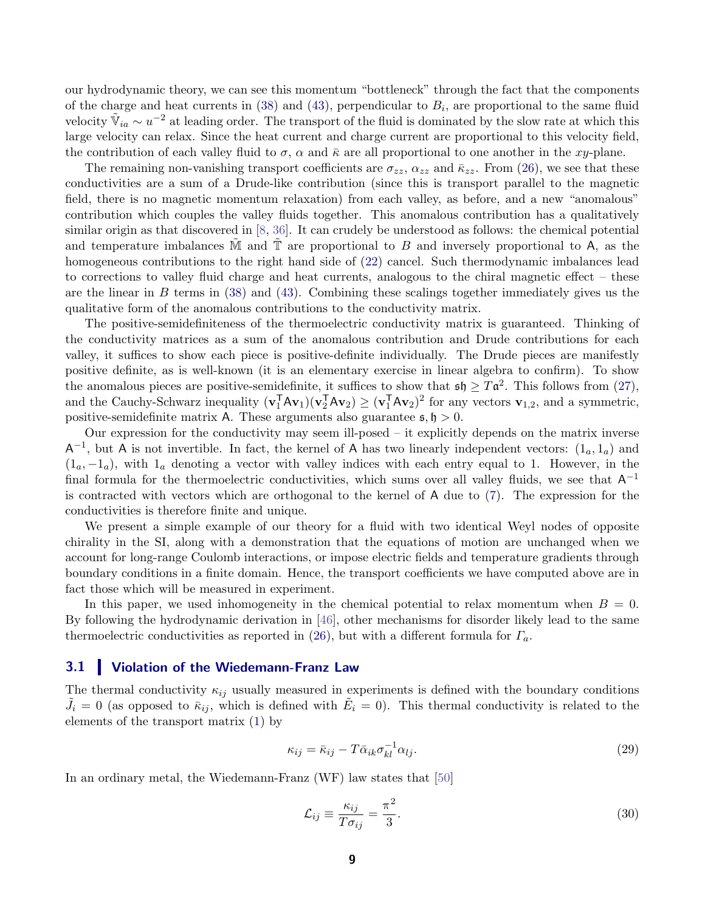our hydrodynamic theory, we can see this momentum "bottleneck" through the fact that the components of the charge and heat currents in [\(38\)](#page-11-0) and [\(43\)](#page-12-0), perpendicular to  $B_i$ , are proportional to the same fluid velocity  $\tilde{\mathbb{V}}_{ia} \sim u^{-2}$  at leading order. The transport of the fluid is dominated by the slow rate at which this large velocity can relax. Since the heat current and charge current are proportional to this velocity field, the contribution of each valley fluid to  $\sigma$ ,  $\alpha$  and  $\bar{\kappa}$  are all proportional to one another in the xy-plane.

The remaining non-vanishing transport coefficients are  $\sigma_{zz}$ ,  $\alpha_{zz}$  and  $\bar{\kappa}_{zz}$ . From [\(26\)](#page-6-2), we see that these conductivities are a sum of a Drude-like contribution (since this is transport parallel to the magnetic field, there is no magnetic momentum relaxation) from each valley, as before, and a new "anomalous" contribution which couples the valley fluids together. This anomalous contribution has a qualitatively similar origin as that discovered in [\[8,](#page-22-8) [36\]](#page-24-5). It can crudely be understood as follows: the chemical potential and temperature imbalances M and  $\mathbb T$  are proportional to B and inversely proportional to A, as the homogeneous contributions to the right hand side of [\(22\)](#page-6-0) cancel. Such thermodynamic imbalances lead to corrections to valley fluid charge and heat currents, analogous to the chiral magnetic effect – these are the linear in B terms in  $(38)$  and  $(43)$ . Combining these scalings together immediately gives us the qualitative form of the anomalous contributions to the conductivity matrix.

The positive-semidefiniteness of the thermoelectric conductivity matrix is guaranteed. Thinking of the conductivity matrices as a sum of the anomalous contribution and Drude contributions for each valley, it suffices to show each piece is positive-definite individually. The Drude pieces are manifestly positive definite, as is well-known (it is an elementary exercise in linear algebra to confirm). To show the anomalous pieces are positive-semidefinite, it suffices to show that  $\mathfrak{sh} \geq T\mathfrak{a}^2$ . This follows from [\(27\)](#page-7-1), and the Cauchy-Schwarz inequality  $(\mathbf{v}_1^T A \mathbf{v}_1)(\mathbf{v}_2^T A \mathbf{v}_2) \ge (\mathbf{v}_1^T A \mathbf{v}_2)^2$  for any vectors  $\mathbf{v}_{1,2}$ , and a symmetric, positive-semidefinite matrix A. These arguments also guarantee  $\mathfrak{s}, \mathfrak{h} > 0$ .

Our expression for the conductivity may seem ill-posed – it explicitly depends on the matrix inverse  $\mathsf{A}^{-1}$ , but  $\mathsf{A}$  is not invertible. In fact, the kernel of  $\mathsf{A}$  has two linearly independent vectors:  $(1_a, 1_a)$  and  $(1_a, -1_a)$ , with  $1_a$  denoting a vector with valley indices with each entry equal to 1. However, in the final formula for the thermoelectric conductivities, which sums over all valley fluids, we see that  $A^{-1}$ is contracted with vectors which are orthogonal to the kernel of A due to [\(7\)](#page-3-2). The expression for the conductivities is therefore finite and unique.

We present a simple example of our theory for a fluid with two identical Weyl nodes of opposite chirality in the SI, along with a demonstration that the equations of motion are unchanged when we account for long-range Coulomb interactions, or impose electric fields and temperature gradients through boundary conditions in a finite domain. Hence, the transport coefficients we have computed above are in fact those which will be measured in experiment.

In this paper, we used inhomogeneity in the chemical potential to relax momentum when  $B = 0$ . By following the hydrodynamic derivation in [\[46\]](#page-24-15), other mechanisms for disorder likely lead to the same thermoelectric conductivities as reported in [\(26\)](#page-6-2), but with a different formula for  $\Gamma_a$ .

### <span id="page-8-0"></span>3.1 Violation of the Wiedemann-Franz Law

The thermal conductivity  $\kappa_{ij}$  usually measured in experiments is defined with the boundary conditions  $\tilde{J}_i = 0$  (as opposed to  $\bar{\kappa}_{ij}$ , which is defined with  $\tilde{E}_i = 0$ ). This thermal conductivity is related to the elements of the transport matrix [\(1\)](#page-2-1) by

$$
\kappa_{ij} = \bar{\kappa}_{ij} - T \bar{\alpha}_{ik} \sigma_{kl}^{-1} \alpha_{lj}.
$$
\n(29)

In an ordinary metal, the Wiedemann-Franz (WF) law states that [\[50\]](#page-25-1)

$$
\mathcal{L}_{ij} \equiv \frac{\kappa_{ij}}{T \sigma_{ij}} = \frac{\pi^2}{3}.
$$
\n(30)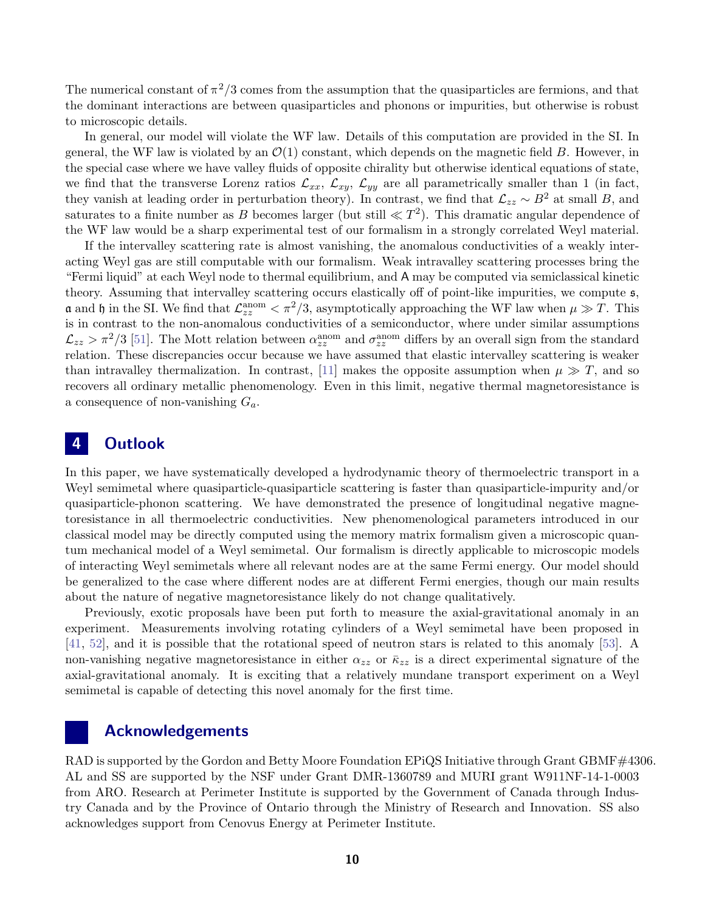The numerical constant of  $\pi^2/3$  comes from the assumption that the quasiparticles are fermions, and that the dominant interactions are between quasiparticles and phonons or impurities, but otherwise is robust to microscopic details.

In general, our model will violate the WF law. Details of this computation are provided in the SI. In general, the WF law is violated by an  $\mathcal{O}(1)$  constant, which depends on the magnetic field B. However, in the special case where we have valley fluids of opposite chirality but otherwise identical equations of state, we find that the transverse Lorenz ratios  $\mathcal{L}_{xx}$ ,  $\mathcal{L}_{xy}$ ,  $\mathcal{L}_{yy}$  are all parametrically smaller than 1 (in fact, they vanish at leading order in perturbation theory). In contrast, we find that  $\mathcal{L}_{zz} \sim B^2$  at small B, and saturates to a finite number as B becomes larger (but still  $\ll T^2$ ). This dramatic angular dependence of the WF law would be a sharp experimental test of our formalism in a strongly correlated Weyl material.

If the intervalley scattering rate is almost vanishing, the anomalous conductivities of a weakly interacting Weyl gas are still computable with our formalism. Weak intravalley scattering processes bring the "Fermi liquid" at each Weyl node to thermal equilibrium, and A may be computed via semiclassical kinetic theory. Assuming that intervalley scattering occurs elastically off of point-like impurities, we compute  $\mathfrak{s}$ , **a** and **h** in the SI. We find that  $\mathcal{L}_{zz}^{\text{anom}} < \pi^2/3$ , asymptotically approaching the WF law when  $\mu \gg T$ . This is in contrast to the non-anomalous conductivities of a semiconductor, where under similar assumptions  $\mathcal{L}_{zz} > \pi^2/3$  [\[51\]](#page-25-2). The Mott relation between  $\alpha_{zz}^{\text{anom}}$  and  $\sigma_{zz}^{\text{anom}}$  differs by an overall sign from the standard relation. These discrepancies occur because we have assumed that elastic intervalley scattering is weaker than intravalley thermalization. In contrast, [\[11\]](#page-22-11) makes the opposite assumption when  $\mu \gg T$ , and so recovers all ordinary metallic phenomenology. Even in this limit, negative thermal magnetoresistance is a consequence of non-vanishing  $G_a$ .

# <span id="page-9-0"></span>4 Outlook

In this paper, we have systematically developed a hydrodynamic theory of thermoelectric transport in a Weyl semimetal where quasiparticle-quasiparticle scattering is faster than quasiparticle-impurity and/or quasiparticle-phonon scattering. We have demonstrated the presence of longitudinal negative magnetoresistance in all thermoelectric conductivities. New phenomenological parameters introduced in our classical model may be directly computed using the memory matrix formalism given a microscopic quantum mechanical model of a Weyl semimetal. Our formalism is directly applicable to microscopic models of interacting Weyl semimetals where all relevant nodes are at the same Fermi energy. Our model should be generalized to the case where different nodes are at different Fermi energies, though our main results about the nature of negative magnetoresistance likely do not change qualitatively.

Previously, exotic proposals have been put forth to measure the axial-gravitational anomaly in an experiment. Measurements involving rotating cylinders of a Weyl semimetal have been proposed in [\[41,](#page-24-10) [52\]](#page-25-3), and it is possible that the rotational speed of neutron stars is related to this anomaly [\[53\]](#page-25-4). A non-vanishing negative magnetoresistance in either  $\alpha_{zz}$  or  $\bar{\kappa}_{zz}$  is a direct experimental signature of the axial-gravitational anomaly. It is exciting that a relatively mundane transport experiment on a Weyl semimetal is capable of detecting this novel anomaly for the first time.

### Acknowledgements

<span id="page-9-1"></span>RAD is supported by the Gordon and Betty Moore Foundation EPiQS Initiative through Grant GBMF#4306. AL and SS are supported by the NSF under Grant DMR-1360789 and MURI grant W911NF-14-1-0003 from ARO. Research at Perimeter Institute is supported by the Government of Canada through Industry Canada and by the Province of Ontario through the Ministry of Research and Innovation. SS also acknowledges support from Cenovus Energy at Perimeter Institute.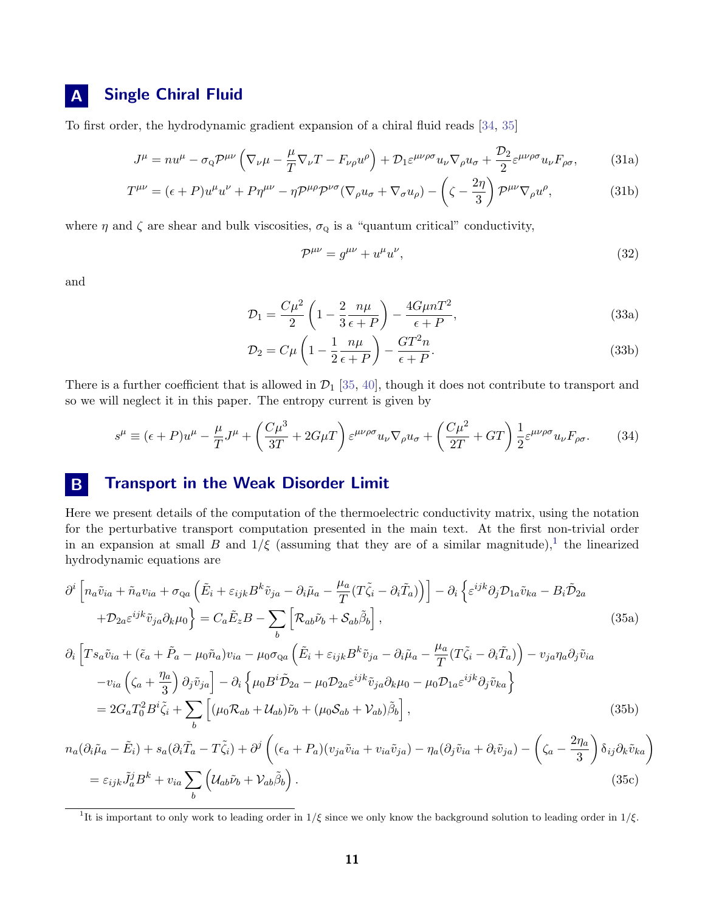# A Single Chiral Fluid

To first order, the hydrodynamic gradient expansion of a chiral fluid reads [\[34,](#page-24-3) [35\]](#page-24-4)

$$
J^{\mu} = nu^{\mu} - \sigma_{\mathbf{Q}} \mathcal{P}^{\mu\nu} \left( \nabla_{\nu}\mu - \frac{\mu}{T} \nabla_{\nu} T - F_{\nu\rho} u^{\rho} \right) + \mathcal{D}_{1} \varepsilon^{\mu\nu\rho\sigma} u_{\nu} \nabla_{\rho} u_{\sigma} + \frac{\mathcal{D}_{2}}{2} \varepsilon^{\mu\nu\rho\sigma} u_{\nu} F_{\rho\sigma}, \tag{31a}
$$

$$
T^{\mu\nu} = (\epsilon + P)u^{\mu}u^{\nu} + P\eta^{\mu\nu} - \eta \mathcal{P}^{\mu\rho}\mathcal{P}^{\nu\sigma}(\nabla_{\rho}u_{\sigma} + \nabla_{\sigma}u_{\rho}) - \left(\zeta - \frac{2\eta}{3}\right)\mathcal{P}^{\mu\nu}\nabla_{\rho}u^{\rho},\tag{31b}
$$

where  $\eta$  and  $\zeta$  are shear and bulk viscosities,  $\sigma_{\mathbf{Q}}$  is a "quantum critical" conductivity,

<span id="page-10-3"></span>
$$
\mathcal{P}^{\mu\nu} = g^{\mu\nu} + u^{\mu}u^{\nu},\tag{32}
$$

and

$$
\mathcal{D}_1 = \frac{C\mu^2}{2} \left( 1 - \frac{2}{3} \frac{n\mu}{\epsilon + P} \right) - \frac{4G\mu n T^2}{\epsilon + P},\tag{33a}
$$

$$
\mathcal{D}_2 = C\mu \left( 1 - \frac{1}{2} \frac{n\mu}{\epsilon + P} \right) - \frac{GT^2 n}{\epsilon + P}.
$$
\n(33b)

There is a further coefficient that is allowed in  $\mathcal{D}_1$  [\[35,](#page-24-4) [40\]](#page-24-9), though it does not contribute to transport and so we will neglect it in this paper. The entropy current is given by

$$
s^{\mu} \equiv (\epsilon + P)u^{\mu} - \frac{\mu}{T}J^{\mu} + \left(\frac{C\mu^{3}}{3T} + 2G\mu T\right)\varepsilon^{\mu\nu\rho\sigma}u_{\nu}\nabla_{\rho}u_{\sigma} + \left(\frac{C\mu^{2}}{2T} + GT\right)\frac{1}{2}\varepsilon^{\mu\nu\rho\sigma}u_{\nu}F_{\rho\sigma}.
$$
 (34)

# <span id="page-10-0"></span>**B** Transport in the Weak Disorder Limit

Here we present details of the computation of the thermoelectric conductivity matrix, using the notation for the perturbative transport computation presented in the main text. At the first non-trivial order in an expansion at small B and  $1/\xi$  $1/\xi$  (assuming that they are of a similar magnitude),<sup>1</sup> the linearized hydrodynamic equations are

<span id="page-10-2"></span>
$$
\partial^{i}\left[n_{a}\tilde{v}_{ia}+\tilde{n}_{a}v_{ia}+\sigma_{Qa}\left(\tilde{E}_{i}+\varepsilon_{ijk}B^{k}\tilde{v}_{ja}-\partial_{i}\tilde{\mu}_{a}-\frac{\mu_{a}}{T}(T\tilde{\zeta}_{i}-\partial_{i}\tilde{T}_{a})\right)\right]-\partial_{i}\left\{\varepsilon^{ijk}\partial_{j}\mathcal{D}_{1a}\tilde{v}_{ka}-B_{i}\tilde{\mathcal{D}}_{2a}\right.
$$
\n
$$
+\mathcal{D}_{2a}\varepsilon^{ijk}\tilde{v}_{ja}\partial_{k}\mu_{0}\right\}=C_{a}\tilde{E}_{z}B-\sum_{b}\left[\mathcal{R}_{ab}\tilde{\nu}_{b}+\mathcal{S}_{ab}\tilde{\beta}_{b}\right],
$$
\n
$$
\partial_{i}\left[Ts_{a}\tilde{v}_{ia}+(\tilde{\epsilon}_{a}+\tilde{P}_{a}-\mu_{0}\tilde{n}_{a})v_{ia}-\mu_{0}\sigma_{Qa}\left(\tilde{E}_{i}+\varepsilon_{ijk}B^{k}\tilde{v}_{ja}-\partial_{i}\tilde{\mu}_{a}-\frac{\mu_{a}}{T}(T\tilde{\zeta}_{i}-\partial_{i}\tilde{T}_{a})\right)-v_{ja}\eta_{a}\partial_{j}\tilde{v}_{ia}
$$
\n
$$
-v_{ia}\left(\zeta_{a}+\frac{\eta_{a}}{3}\right)\partial_{j}\tilde{v}_{ja}\right]-\partial_{i}\left\{\mu_{0}B^{i}\tilde{\mathcal{D}}_{2a}-\mu_{0}\mathcal{D}_{2a}\varepsilon^{ijk}\tilde{v}_{ja}\partial_{k}\mu_{0}-\mu_{0}\mathcal{D}_{1a}\varepsilon^{ijk}\partial_{j}\tilde{v}_{ka}\right\}
$$
\n(35a)

$$
=2G_aT_0^2B^i\tilde{\zeta}_i+\sum_b\left[(\mu_0\mathcal{R}_{ab}+\mathcal{U}_{ab})\tilde{\nu}_b+(\mu_0\mathcal{S}_{ab}+\mathcal{V}_{ab})\tilde{\beta}_b\right],\tag{35b}
$$

$$
n_a(\partial_i \tilde{\mu}_a - \tilde{E}_i) + s_a(\partial_i \tilde{T}_a - T\tilde{\zeta}_i) + \partial^j \left( (\epsilon_a + P_a)(v_{ja}\tilde{v}_{ia} + v_{ia}\tilde{v}_{ja}) - \eta_a(\partial_j \tilde{v}_{ia} + \partial_i \tilde{v}_{ja}) - \left( \zeta_a - \frac{2\eta_a}{3} \right) \delta_{ij} \partial_k \tilde{v}_{ka} \right)
$$
  
=  $\varepsilon_{ijk} \tilde{J}_a^j B^k + v_{ia} \sum_b \left( \mathcal{U}_{ab} \tilde{\nu}_b + \mathcal{V}_{ab} \tilde{\beta}_b \right).$  (35c)

<span id="page-10-1"></span><sup>&</sup>lt;sup>1</sup>It is important to only work to leading order in  $1/\xi$  since we only know the background solution to leading order in  $1/\xi$ .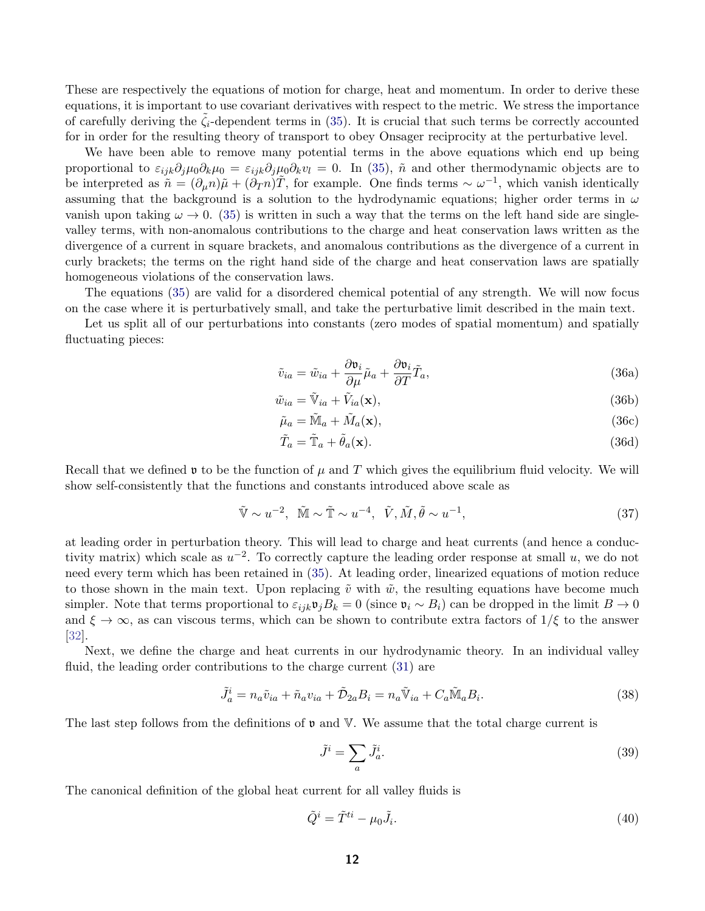These are respectively the equations of motion for charge, heat and momentum. In order to derive these equations, it is important to use covariant derivatives with respect to the metric. We stress the importance of carefully deriving the  $\zeta_i$ -dependent terms in [\(35\)](#page-10-2). It is crucial that such terms be correctly accounted for in order for the resulting theory of transport to obey Onsager reciprocity at the perturbative level.

We have been able to remove many potential terms in the above equations which end up being proportional to  $\varepsilon_{ijk}\partial_j\mu_0\partial_k\mu_0 = \varepsilon_{ijk}\partial_j\mu_0\partial_k v_l = 0$ . In [\(35\)](#page-10-2),  $\tilde{n}$  and other thermodynamic objects are to be interpreted as  $\tilde{n} = (\partial_{\mu} n)\tilde{\mu} + (\tilde{\partial}_{T} n)\tilde{T}$ , for example. One finds terms  $\sim \omega^{-1}$ , which vanish identically assuming that the background is a solution to the hydrodynamic equations; higher order terms in  $\omega$ vanish upon taking  $\omega \to 0$ . [\(35\)](#page-10-2) is written in such a way that the terms on the left hand side are singlevalley terms, with non-anomalous contributions to the charge and heat conservation laws written as the divergence of a current in square brackets, and anomalous contributions as the divergence of a current in curly brackets; the terms on the right hand side of the charge and heat conservation laws are spatially homogeneous violations of the conservation laws.

The equations [\(35\)](#page-10-2) are valid for a disordered chemical potential of any strength. We will now focus on the case where it is perturbatively small, and take the perturbative limit described in the main text.

Let us split all of our perturbations into constants (zero modes of spatial momentum) and spatially fluctuating pieces:

$$
\tilde{v}_{ia} = \tilde{w}_{ia} + \frac{\partial \mathfrak{v}_i}{\partial \mu} \tilde{\mu}_a + \frac{\partial \mathfrak{v}_i}{\partial T} \tilde{T}_a,\tag{36a}
$$

$$
\tilde{w}_{ia} = \tilde{V}_{ia} + \tilde{V}_{ia}(\mathbf{x}),\tag{36b}
$$

$$
\tilde{\mu}_a = \tilde{M}_a + \tilde{M}_a(\mathbf{x}),\tag{36c}
$$

$$
\tilde{T}_a = \tilde{T}_a + \tilde{\theta}_a(\mathbf{x}).\tag{36d}
$$

Recall that we defined **v** to be the function of  $\mu$  and T which gives the equilibrium fluid velocity. We will show self-consistently that the functions and constants introduced above scale as

$$
\tilde{\mathbb{V}} \sim u^{-2}, \quad \tilde{\mathbb{M}} \sim \tilde{\mathbb{T}} \sim u^{-4}, \quad \tilde{V}, \tilde{M}, \tilde{\theta} \sim u^{-1}, \tag{37}
$$

at leading order in perturbation theory. This will lead to charge and heat currents (and hence a conductivity matrix) which scale as  $u^{-2}$ . To correctly capture the leading order response at small u, we do not need every term which has been retained in [\(35\)](#page-10-2). At leading order, linearized equations of motion reduce to those shown in the main text. Upon replacing  $\tilde{v}$  with  $\tilde{w}$ , the resulting equations have become much simpler. Note that terms proportional to  $\varepsilon_{ijk}\mathfrak{v}_jB_k = 0$  (since  $\mathfrak{v}_i \sim B_i$ ) can be dropped in the limit  $B \to 0$ and  $\xi \to \infty$ , as can viscous terms, which can be shown to contribute extra factors of  $1/\xi$  to the answer [\[32\]](#page-24-1).

Next, we define the charge and heat currents in our hydrodynamic theory. In an individual valley fluid, the leading order contributions to the charge current [\(31\)](#page-10-3) are

<span id="page-11-0"></span>
$$
\tilde{J}_a^i = n_a \tilde{v}_{ia} + \tilde{n}_a v_{ia} + \tilde{D}_{2a} B_i = n_a \tilde{V}_{ia} + C_a \tilde{M}_a B_i.
$$
\n(38)

The last step follows from the definitions of  $\nu$  and  $\nabla$ . We assume that the total charge current is

<span id="page-11-1"></span>
$$
\tilde{J}^i = \sum_a \tilde{J}_a^i. \tag{39}
$$

The canonical definition of the global heat current for all valley fluids is

$$
\tilde{Q}^i = \tilde{T}^{ti} - \mu_0 \tilde{J}_i. \tag{40}
$$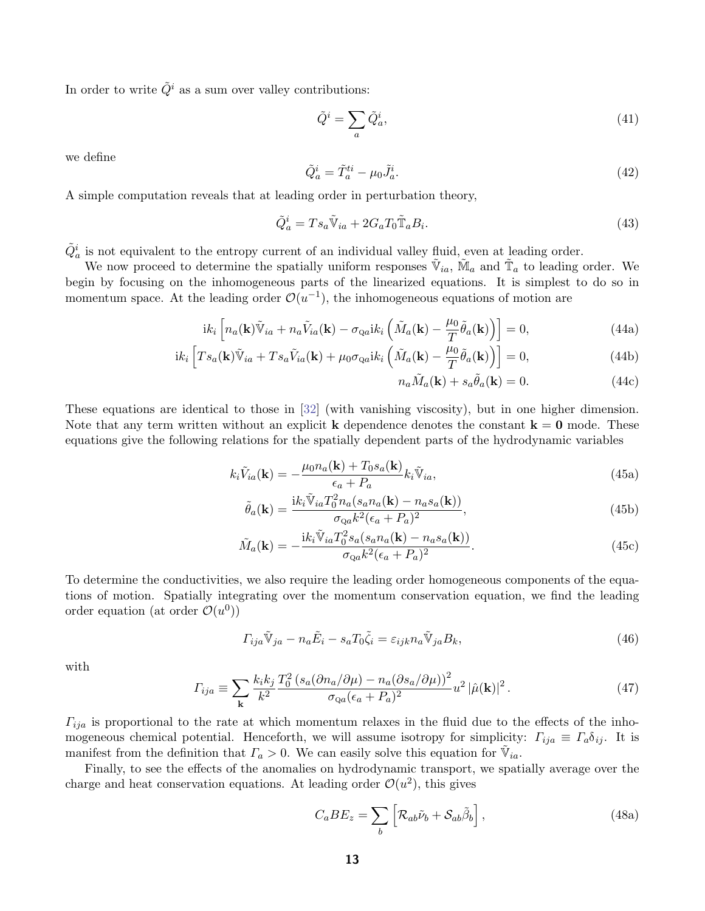In order to write  $\tilde{Q}^i$  as a sum over valley contributions:

<span id="page-12-1"></span>
$$
\tilde{Q}^i = \sum_a \tilde{Q}_a^i,\tag{41}
$$

we define

$$
\tilde{Q}_a^i = \tilde{T}_a^{ti} - \mu_0 \tilde{J}_a^i. \tag{42}
$$

A simple computation reveals that at leading order in perturbation theory,

<span id="page-12-0"></span>
$$
\tilde{Q}_a^i = Ts_a \tilde{\mathbb{V}}_{ia} + 2G_a T_0 \tilde{\mathbb{T}}_a B_i.
$$
\n(43)

 $\tilde{Q}^i_a$  is not equivalent to the entropy current of an individual valley fluid, even at leading order.

We now proceed to determine the spatially uniform responses  $\tilde{\mathbb{V}}_{ia}$ ,  $\tilde{\mathbb{M}}_a$  and  $\tilde{\mathbb{T}}_a$  to leading order. We begin by focusing on the inhomogeneous parts of the linearized equations. It is simplest to do so in momentum space. At the leading order  $\mathcal{O}(u^{-1})$ , the inhomogeneous equations of motion are

$$
ik_i \left[ n_a(\mathbf{k}) \tilde{\mathbb{V}}_{ia} + n_a \tilde{V}_{ia}(\mathbf{k}) - \sigma_{\text{Q}a} ik_i \left( \tilde{M}_a(\mathbf{k}) - \frac{\mu_0}{T} \tilde{\theta}_a(\mathbf{k}) \right) \right] = 0,
$$
\n(44a)

$$
ik_i \left[ Ts_a(\mathbf{k}) \tilde{\mathbb{V}}_{ia} + Ts_a \tilde{V}_{ia}(\mathbf{k}) + \mu_0 \sigma_{\text{Q}a} ik_i \left( \tilde{M}_a(\mathbf{k}) - \frac{\mu_0}{T} \tilde{\theta}_a(\mathbf{k}) \right) \right] = 0, \tag{44b}
$$

$$
n_a \tilde{M}_a(\mathbf{k}) + s_a \tilde{\theta}_a(\mathbf{k}) = 0.
$$
 (44c)

These equations are identical to those in [\[32\]](#page-24-1) (with vanishing viscosity), but in one higher dimension. Note that any term written without an explicit **k** dependence denotes the constant  $\mathbf{k} = \mathbf{0}$  mode. These equations give the following relations for the spatially dependent parts of the hydrodynamic variables

$$
k_i \tilde{V}_{ia}(\mathbf{k}) = -\frac{\mu_0 n_a(\mathbf{k}) + T_0 s_a(\mathbf{k})}{\epsilon_a + P_a} k_i \tilde{\mathbb{V}}_{ia},\tag{45a}
$$

$$
\tilde{\theta}_a(\mathbf{k}) = \frac{ik_i \tilde{\mathbb{V}}_{ia} T_0^2 n_a (s_a n_a(\mathbf{k}) - n_a s_a(\mathbf{k}))}{\sigma_{\mathcal{Q}a} k^2 (\epsilon_a + P_a)^2},\tag{45b}
$$

$$
\tilde{M}_a(\mathbf{k}) = -\frac{\mathrm{i}k_i \tilde{\mathbb{V}}_{ia} T_0^2 s_a(s_a n_a(\mathbf{k}) - n_a s_a(\mathbf{k}))}{\sigma_{\mathcal{Q}a} k^2 (\epsilon_a + P_a)^2}.
$$
\n(45c)

To determine the conductivities, we also require the leading order homogeneous components of the equations of motion. Spatially integrating over the momentum conservation equation, we find the leading order equation (at order  $\mathcal{O}(u^0)$ )

<span id="page-12-2"></span>
$$
\Gamma_{ija}\tilde{\mathbb{V}}_{ja} - n_a\tilde{E}_i - s_aT_0\tilde{\zeta}_i = \varepsilon_{ijk}n_a\tilde{\mathbb{V}}_{ja}B_k,\tag{46}
$$

with

<span id="page-12-3"></span>
$$
\Gamma_{ija} \equiv \sum_{\mathbf{k}} \frac{k_i k_j}{k^2} \frac{T_0^2 \left(s_a (\partial n_a / \partial \mu) - n_a (\partial s_a / \partial \mu)\right)^2}{\sigma_{\mathcal{Q}a} (\epsilon_a + P_a)^2} u^2 |\hat{\mu}(\mathbf{k})|^2. \tag{47}
$$

 $\Gamma_{ija}$  is proportional to the rate at which momentum relaxes in the fluid due to the effects of the inhomogeneous chemical potential. Henceforth, we will assume isotropy for simplicity:  $\Gamma_{ija} \equiv \Gamma_a \delta_{ij}$ . It is manifest from the definition that  $\Gamma_a > 0$ . We can easily solve this equation for  $\tilde{\mathbb{V}}_{ia}$ .

Finally, to see the effects of the anomalies on hydrodynamic transport, we spatially average over the charge and heat conservation equations. At leading order  $\mathcal{O}(u^2)$ , this gives

$$
C_a B E_z = \sum_b \left[ \mathcal{R}_{ab} \tilde{\nu}_b + \mathcal{S}_{ab} \tilde{\beta}_b \right], \qquad (48a)
$$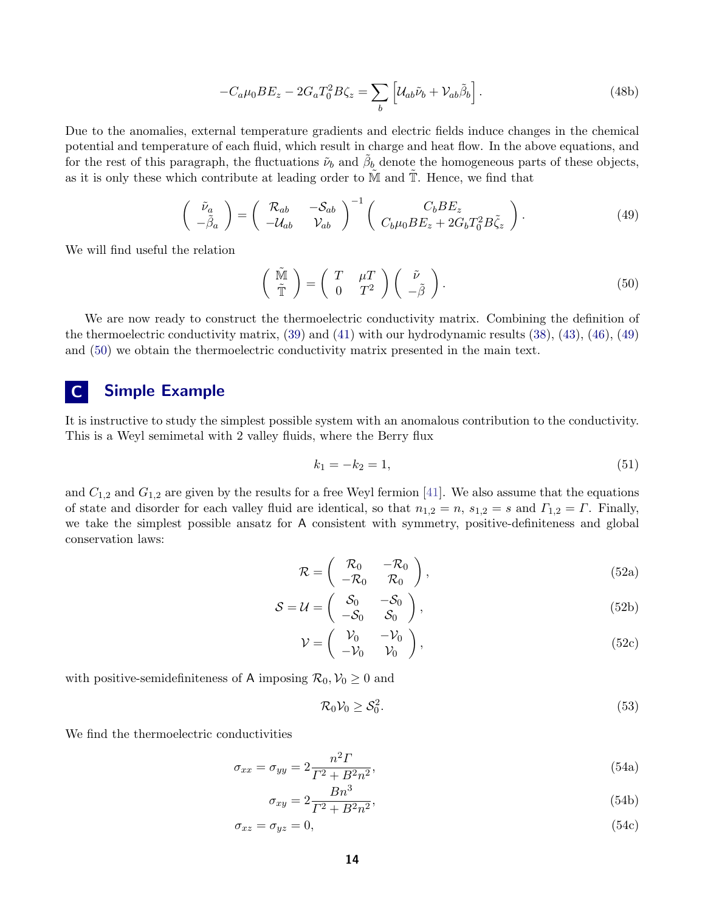$$
-C_a\mu_0 BE_z - 2G_aT_0^2B\zeta_z = \sum_b \left[ \mathcal{U}_{ab}\tilde{\nu}_b + \mathcal{V}_{ab}\tilde{\beta}_b \right].
$$
\n(48b)

Due to the anomalies, external temperature gradients and electric fields induce changes in the chemical potential and temperature of each fluid, which result in charge and heat flow. In the above equations, and for the rest of this paragraph, the fluctuations  $\tilde{\nu}_b$  and  $\tilde{\beta}_b$  denote the homogeneous parts of these objects, as it is only these which contribute at leading order to  $M$  and  $T$ . Hence, we find that

<span id="page-13-1"></span>
$$
\begin{pmatrix}\n\tilde{\nu}_a \\
-\tilde{\beta}_a\n\end{pmatrix} = \begin{pmatrix}\n\mathcal{R}_{ab} & -\mathcal{S}_{ab} \\
-\mathcal{U}_{ab} & \mathcal{V}_{ab}\n\end{pmatrix}^{-1} \begin{pmatrix}\nC_b B E_z \\
C_b \mu_0 B E_z + 2G_b T_0^2 B \tilde{\zeta}_z\n\end{pmatrix}.
$$
\n(49)

We will find useful the relation

<span id="page-13-2"></span>
$$
\begin{pmatrix} \tilde{M} \\ \tilde{T} \end{pmatrix} = \begin{pmatrix} T & \mu T \\ 0 & T^2 \end{pmatrix} \begin{pmatrix} \tilde{\nu} \\ -\tilde{\beta} \end{pmatrix}.
$$
 (50)

We are now ready to construct the thermoelectric conductivity matrix. Combining the definition of the thermoelectric conductivity matrix, [\(39\)](#page-11-1) and [\(41\)](#page-12-1) with our hydrodynamic results [\(38\)](#page-11-0), [\(43\)](#page-12-0), [\(46\)](#page-12-2), [\(49\)](#page-13-1) and [\(50\)](#page-13-2) we obtain the thermoelectric conductivity matrix presented in the main text.

# <span id="page-13-0"></span>C Simple Example

It is instructive to study the simplest possible system with an anomalous contribution to the conductivity. This is a Weyl semimetal with 2 valley fluids, where the Berry flux

$$
k_1 = -k_2 = 1,\t\t(51)
$$

and  $C_{1,2}$  and  $G_{1,2}$  are given by the results for a free Weyl fermion [\[41\]](#page-24-10). We also assume that the equations of state and disorder for each valley fluid are identical, so that  $n_{1,2} = n$ ,  $s_{1,2} = s$  and  $\Gamma_{1,2} = \Gamma$ . Finally, we take the simplest possible ansatz for A consistent with symmetry, positive-definiteness and global conservation laws:

$$
\mathcal{R} = \begin{pmatrix} \mathcal{R}_0 & -\mathcal{R}_0 \\ -\mathcal{R}_0 & \mathcal{R}_0 \end{pmatrix}, \tag{52a}
$$

$$
S = U = \begin{pmatrix} S_0 & -S_0 \\ -S_0 & S_0 \end{pmatrix},
$$
 (52b)

$$
\mathcal{V} = \begin{pmatrix} \mathcal{V}_0 & -\mathcal{V}_0 \\ -\mathcal{V}_0 & \mathcal{V}_0 \end{pmatrix},\tag{52c}
$$

with positive-semidefiniteness of A imposing  $\mathcal{R}_0, \mathcal{V}_0 \geq 0$  and

$$
\mathcal{R}_0 \mathcal{V}_0 \ge \mathcal{S}_0^2. \tag{53}
$$

We find the thermoelectric conductivities

$$
\sigma_{xx} = \sigma_{yy} = 2 \frac{n^2 \Gamma}{\Gamma^2 + B^2 n^2},\tag{54a}
$$

$$
\sigma_{xy} = 2 \frac{Bn^{\circ}}{\Gamma^2 + B^2 n^2},\tag{54b}
$$

$$
\sigma_{xz} = \sigma_{yz} = 0,\tag{54c}
$$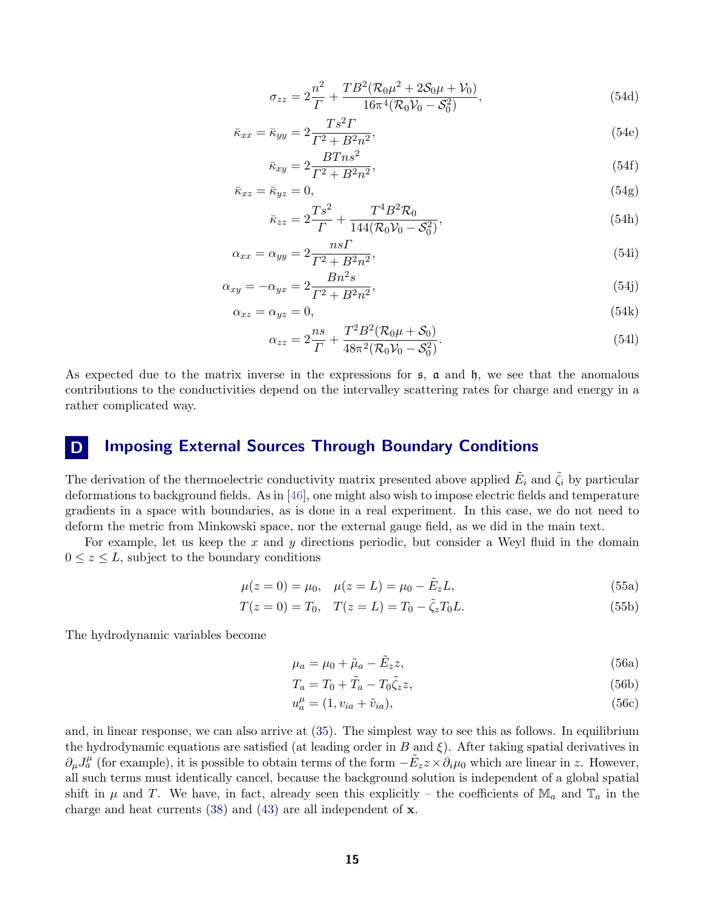$$
\sigma_{zz} = 2\frac{n^2}{\Gamma} + \frac{TB^2(\mathcal{R}_0\mu^2 + 2\mathcal{S}_0\mu + \mathcal{V}_0)}{16\pi^4(\mathcal{R}_0\mathcal{V}_0 - \mathcal{S}_0^2)},
$$
\n(54d)

$$
\bar{\kappa}_{xx} = \bar{\kappa}_{yy} = 2 \frac{T s^2 T}{\Gamma^2 + B^2 n^2},\tag{54e}
$$

$$
\bar{\kappa}_{xy} = 2 \frac{BT^n^2}{\Gamma^2 + B^2 n^2},\tag{54f}
$$

$$
\bar{\kappa}_{xz} = \bar{\kappa}_{yz} = 0,\tag{54g}
$$

$$
\bar{\kappa}_{zz} = 2\frac{T s^2}{\Gamma} + \frac{T^4 B^2 \mathcal{R}_0}{144(\mathcal{R}_0 \mathcal{V}_0 - \mathcal{S}_0^2)},\tag{54h}
$$

$$
\alpha_{xx} = \alpha_{yy} = 2 \frac{ns\Gamma}{\Gamma^2 + B^2 n^2},\tag{54i}
$$

$$
\alpha_{xy} = -\alpha_{yx} = 2 \frac{Bn^2 s}{\Gamma^2 + B^2 n^2},\tag{54}
$$

$$
\alpha_{xz} = \alpha_{yz} = 0,\tag{54k}
$$

$$
\alpha_{zz} = 2\frac{ns}{\Gamma} + \frac{T^2 B^2 (\mathcal{R}_0 \mu + \mathcal{S}_0)}{48\pi^2 (\mathcal{R}_0 \mathcal{V}_0 - \mathcal{S}_0^2)}.
$$
\n(54)

As expected due to the matrix inverse in the expressions for  $\mathfrak{s}$ ,  $\mathfrak{a}$  and  $\mathfrak{h}$ , we see that the anomalous contributions to the conductivities depend on the intervalley scattering rates for charge and energy in a rather complicated way.

# <span id="page-14-0"></span>D Imposing External Sources Through Boundary Conditions

The derivation of the thermoelectric conductivity matrix presented above applied  $\tilde{E}_i$  and  $\tilde{\zeta}_i$  by particular deformations to background fields. As in [\[46\]](#page-24-15), one might also wish to impose electric fields and temperature gradients in a space with boundaries, as is done in a real experiment. In this case, we do not need to deform the metric from Minkowski space, nor the external gauge field, as we did in the main text.

For example, let us keep the x and y directions periodic, but consider a Weyl fluid in the domain  $0 \leq z \leq L$ , subject to the boundary conditions

$$
\mu(z=0) = \mu_0, \quad \mu(z=L) = \mu_0 - \tilde{E}_z L,
$$
\n(55a)

$$
T(z=0) = T_0, \quad T(z=L) = T_0 - \tilde{\zeta}_z T_0 L. \tag{55b}
$$

The hydrodynamic variables become

<span id="page-14-1"></span>
$$
\mu_a = \mu_0 + \tilde{\mu}_a - \tilde{E}_z z,\tag{56a}
$$

$$
T_a = T_0 + \tilde{T}_a - T_0 \tilde{\zeta}_z z,\tag{56b}
$$

$$
u_a^{\mu} = (1, v_{ia} + \tilde{v}_{ia}), \tag{56c}
$$

and, in linear response, we can also arrive at [\(35\)](#page-10-2). The simplest way to see this as follows. In equilibrium the hydrodynamic equations are satisfied (at leading order in B and  $\xi$ ). After taking spatial derivatives in  $\partial_\mu J_a^\mu$  (for example), it is possible to obtain terms of the form  $-\tilde{E}_z z \times \partial_i \mu_0$  which are linear in z. However, all such terms must identically cancel, because the background solution is independent of a global spatial shift in  $\mu$  and T. We have, in fact, already seen this explicitly – the coefficients of  $\mathbb{M}_a$  and  $\mathbb{T}_a$  in the charge and heat currents  $(38)$  and  $(43)$  are all independent of **x**.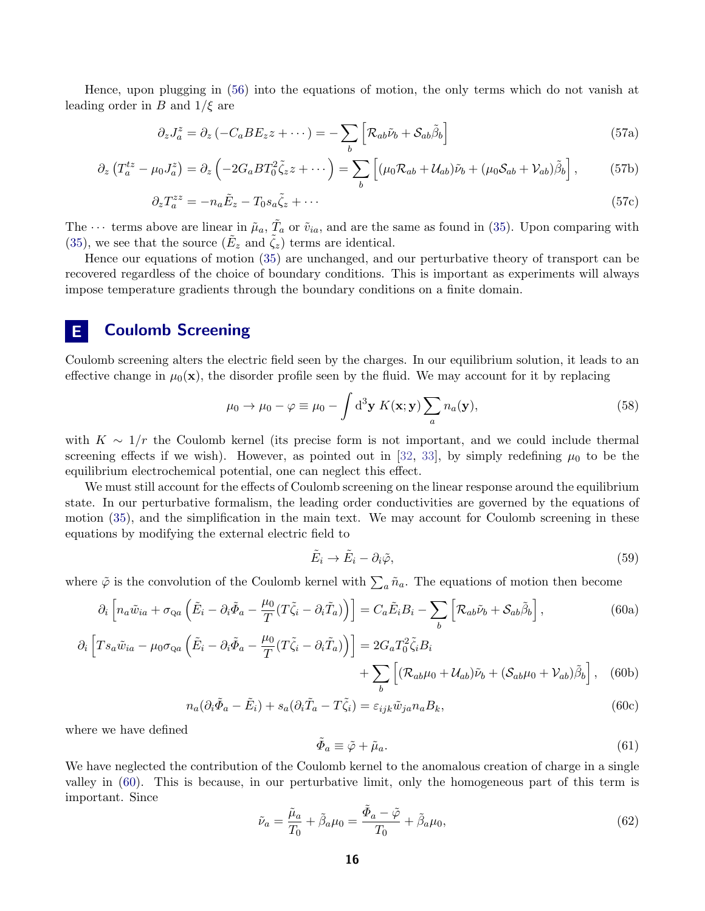Hence, upon plugging in [\(56\)](#page-14-1) into the equations of motion, the only terms which do not vanish at leading order in B and  $1/\xi$  are

$$
\partial_z J_a^z = \partial_z \left( -C_a B E_z z + \cdots \right) = -\sum_b \left[ \mathcal{R}_{ab} \tilde{\nu}_b + \mathcal{S}_{ab} \tilde{\beta}_b \right] \tag{57a}
$$

$$
\partial_z \left( T_a^{tz} - \mu_0 J_a^z \right) = \partial_z \left( -2G_a B T_0^2 \tilde{\zeta}_z z + \cdots \right) = \sum_b \left[ (\mu_0 \mathcal{R}_{ab} + \mathcal{U}_{ab}) \tilde{\nu}_b + (\mu_0 \mathcal{S}_{ab} + \mathcal{V}_{ab}) \tilde{\beta}_b \right],\tag{57b}
$$

$$
\partial_z T_a^{zz} = -n_a \tilde{E}_z - T_0 s_a \tilde{\zeta}_z + \cdots \tag{57c}
$$

The  $\cdots$  terms above are linear in  $\tilde{\mu}_a$ ,  $\tilde{T}_a$  or  $\tilde{v}_{ia}$ , and are the same as found in [\(35\)](#page-10-2). Upon comparing with [\(35\)](#page-10-2), we see that the source  $(\tilde{E}_z \text{ and } \tilde{\zeta}_z)$  terms are identical.

Hence our equations of motion [\(35\)](#page-10-2) are unchanged, and our perturbative theory of transport can be recovered regardless of the choice of boundary conditions. This is important as experiments will always impose temperature gradients through the boundary conditions on a finite domain.

# <span id="page-15-0"></span>E Coulomb Screening

Coulomb screening alters the electric field seen by the charges. In our equilibrium solution, it leads to an effective change in  $\mu_0(\mathbf{x})$ , the disorder profile seen by the fluid. We may account for it by replacing

$$
\mu_0 \to \mu_0 - \varphi \equiv \mu_0 - \int d^3 \mathbf{y} \, K(\mathbf{x}; \mathbf{y}) \sum_a n_a(\mathbf{y}), \tag{58}
$$

with  $K \sim 1/r$  the Coulomb kernel (its precise form is not important, and we could include thermal screening effects if we wish). However, as pointed out in [\[32,](#page-24-1) [33\]](#page-24-2), by simply redefining  $\mu_0$  to be the equilibrium electrochemical potential, one can neglect this effect.

We must still account for the effects of Coulomb screening on the linear response around the equilibrium state. In our perturbative formalism, the leading order conductivities are governed by the equations of motion [\(35\)](#page-10-2), and the simplification in the main text. We may account for Coulomb screening in these equations by modifying the external electric field to

<span id="page-15-1"></span>
$$
\tilde{E}_i \to \tilde{E}_i - \partial_i \tilde{\varphi},\tag{59}
$$

where  $\tilde{\varphi}$  is the convolution of the Coulomb kernel with  $\sum_a \tilde{n}_a$ . The equations of motion then become

$$
\partial_i \left[ n_a \tilde{w}_{ia} + \sigma_{Qa} \left( \tilde{E}_i - \partial_i \tilde{\Phi}_a - \frac{\mu_0}{T} (T \tilde{\zeta}_i - \partial_i \tilde{T}_a) \right) \right] = C_a \tilde{E}_i B_i - \sum_b \left[ \mathcal{R}_{ab} \tilde{\nu}_b + \mathcal{S}_{ab} \tilde{\beta}_b \right],\tag{60a}
$$

$$
\partial_i \left[ T s_a \tilde{w}_{ia} - \mu_0 \sigma_{Qa} \left( \tilde{E}_i - \partial_i \tilde{\Phi}_a - \frac{\mu_0}{T} (T \tilde{\zeta}_i - \partial_i \tilde{T}_a) \right) \right] = 2 G_a T_0^2 \tilde{\zeta}_i B_i + \sum_b \left[ (\mathcal{R}_{ab} \mu_0 + \mathcal{U}_{ab}) \tilde{\nu}_b + (\mathcal{S}_{ab} \mu_0 + \mathcal{V}_{ab}) \tilde{\beta}_b \right], \quad (60b)
$$

$$
n_a(\partial_i \tilde{\Phi}_a - \tilde{E}_i) + s_a(\partial_i \tilde{T}_a - T\tilde{\zeta}_i) = \varepsilon_{ijk}\tilde{w}_{ja}n_a B_k,
$$
\n(60c)

where we have defined

$$
\tilde{\Phi}_a \equiv \tilde{\varphi} + \tilde{\mu}_a. \tag{61}
$$

We have neglected the contribution of the Coulomb kernel to the anomalous creation of charge in a single valley in [\(60\)](#page-15-1). This is because, in our perturbative limit, only the homogeneous part of this term is important. Since

$$
\tilde{\nu}_a = \frac{\tilde{\mu}_a}{T_0} + \tilde{\beta}_a \mu_0 = \frac{\tilde{\Phi}_a - \tilde{\varphi}}{T_0} + \tilde{\beta}_a \mu_0,\tag{62}
$$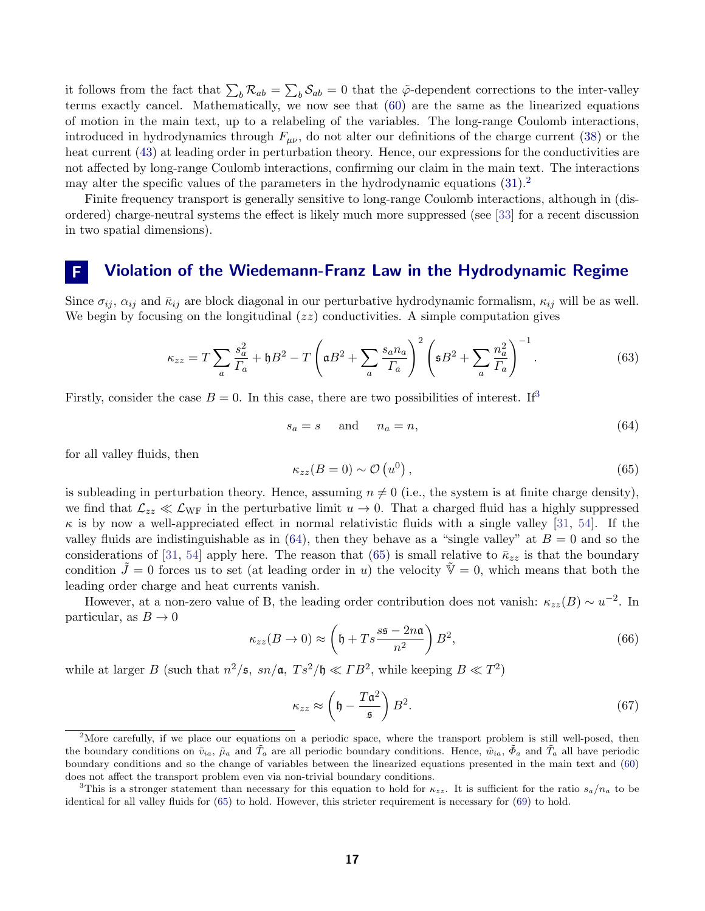it follows from the fact that  $\sum_b \mathcal{R}_{ab} = \sum_b \mathcal{S}_{ab} = 0$  that the  $\tilde{\varphi}$ -dependent corrections to the inter-valley terms exactly cancel. Mathematically, we now see that [\(60\)](#page-15-1) are the same as the linearized equations of motion in the main text, up to a relabeling of the variables. The long-range Coulomb interactions, introduced in hydrodynamics through  $F_{\mu\nu}$ , do not alter our definitions of the charge current [\(38\)](#page-11-0) or the heat current [\(43\)](#page-12-0) at leading order in perturbation theory. Hence, our expressions for the conductivities are not affected by long-range Coulomb interactions, confirming our claim in the main text. The interactions may alter the specific values of the parameters in the hydrodynamic equations  $(31)^2$  $(31)^2$  $(31)^2$ .

Finite frequency transport is generally sensitive to long-range Coulomb interactions, although in (disordered) charge-neutral systems the effect is likely much more suppressed (see [\[33\]](#page-24-2) for a recent discussion in two spatial dimensions).

# <span id="page-16-0"></span>F Violation of the Wiedemann-Franz Law in the Hydrodynamic Regime

Since  $\sigma_{ij}$ ,  $\alpha_{ij}$  and  $\bar{\kappa}_{ij}$  are block diagonal in our perturbative hydrodynamic formalism,  $\kappa_{ij}$  will be as well. We begin by focusing on the longitudinal  $(zz)$  conductivities. A simple computation gives

$$
\kappa_{zz} = T \sum_{a} \frac{s_a^2}{\Gamma_a} + \mathfrak{h}B^2 - T \left( \mathfrak{a}B^2 + \sum_{a} \frac{s_a n_a}{\Gamma_a} \right)^2 \left( \mathfrak{s}B^2 + \sum_{a} \frac{n_a^2}{\Gamma_a} \right)^{-1} . \tag{63}
$$

Firstly, consider the case  $B = 0$ . In this case, there are two possibilities of interest. If<sup>[3](#page-16-2)</sup>

<span id="page-16-3"></span>
$$
s_a = s \quad \text{and} \quad n_a = n,\tag{64}
$$

for all valley fluids, then

<span id="page-16-4"></span>
$$
\kappa_{zz}(B=0) \sim \mathcal{O}\left(u^0\right),\tag{65}
$$

is subleading in perturbation theory. Hence, assuming  $n \neq 0$  (i.e., the system is at finite charge density), we find that  $\mathcal{L}_{zz} \ll \mathcal{L}_{WF}$  in the perturbative limit  $u \to 0$ . That a charged fluid has a highly suppressed  $\kappa$  is by now a well-appreciated effect in normal relativistic fluids with a single valley [\[31,](#page-24-0) [54\]](#page-25-5). If the valley fluids are indistinguishable as in [\(64\)](#page-16-3), then they behave as a "single valley" at  $B = 0$  and so the considerations of [\[31,](#page-24-0) [54\]](#page-25-5) apply here. The reason that [\(65\)](#page-16-4) is small relative to  $\bar{k}_{zz}$  is that the boundary condition  $\tilde{J}=0$  forces us to set (at leading order in u) the velocity  $\tilde{V}=0$ , which means that both the leading order charge and heat currents vanish.

However, at a non-zero value of B, the leading order contribution does not vanish:  $\kappa_{zz}(B) \sim u^{-2}$ . In particular, as  $B \to 0$ 

$$
\kappa_{zz}(B \to 0) \approx \left(\mathfrak{h} + T s \frac{s\mathfrak{s} - 2n\mathfrak{a}}{n^2}\right) B^2,\tag{66}
$$

while at larger B (such that  $n^2/\mathfrak{s}$ ,  $sn/\mathfrak{a}$ ,  $Ts^2/\mathfrak{h} \ll \Gamma B^2$ , while keeping  $B \ll T^2$ )

$$
\kappa_{zz} \approx \left(\mathfrak{h} - \frac{T\mathfrak{a}^2}{\mathfrak{s}}\right) B^2. \tag{67}
$$

<span id="page-16-1"></span><sup>&</sup>lt;sup>2</sup>More carefully, if we place our equations on a periodic space, where the transport problem is still well-posed, then the boundary conditions on  $\tilde{v}_{ia}$ ,  $\tilde{\mu}_a$  and  $\tilde{T}_a$  are all periodic boundary conditions. Hence,  $\tilde{w}_{ia}$ ,  $\tilde{\Phi}_a$  and  $\tilde{T}_a$  all have periodic boundary conditions and so the change of variables between the linearized equations presented in the main text and [\(60\)](#page-15-1) does not affect the transport problem even via non-trivial boundary conditions.

<span id="page-16-2"></span><sup>&</sup>lt;sup>3</sup>This is a stronger statement than necessary for this equation to hold for  $\kappa_{zz}$ . It is sufficient for the ratio  $s_a/n_a$  to be identical for all valley fluids for [\(65\)](#page-16-4) to hold. However, this stricter requirement is necessary for [\(69\)](#page-17-1) to hold.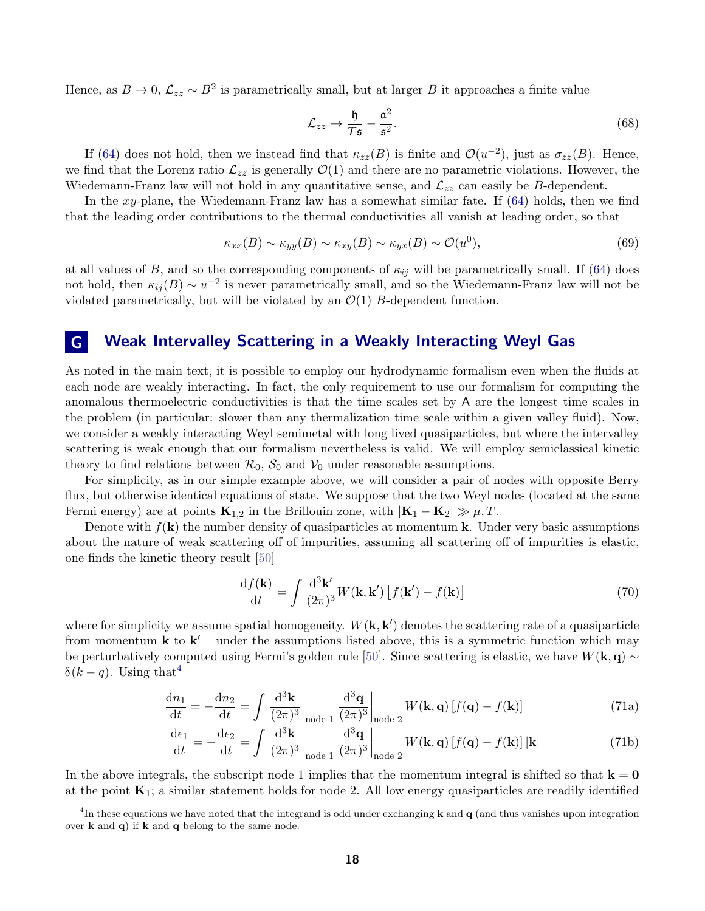Hence, as  $B \to 0$ ,  $\mathcal{L}_{zz} \sim B^2$  is parametrically small, but at larger B it approaches a finite value

$$
\mathcal{L}_{zz} \to \frac{\mathfrak{h}}{T\mathfrak{s}} - \frac{\mathfrak{a}^2}{\mathfrak{s}^2}.\tag{68}
$$

If [\(64\)](#page-16-3) does not hold, then we instead find that  $\kappa_{zz}(B)$  is finite and  $\mathcal{O}(u^{-2})$ , just as  $\sigma_{zz}(B)$ . Hence, we find that the Lorenz ratio  $\mathcal{L}_{zz}$  is generally  $\mathcal{O}(1)$  and there are no parametric violations. However, the Wiedemann-Franz law will not hold in any quantitative sense, and  $\mathcal{L}_{zz}$  can easily be B-dependent.

In the xy-plane, the Wiedemann-Franz law has a somewhat similar fate. If  $(64)$  holds, then we find that the leading order contributions to the thermal conductivities all vanish at leading order, so that

<span id="page-17-1"></span>
$$
\kappa_{xx}(B) \sim \kappa_{yy}(B) \sim \kappa_{xy}(B) \sim \kappa_{yx}(B) \sim \mathcal{O}(u^0),\tag{69}
$$

at all values of B, and so the corresponding components of  $\kappa_{ij}$  will be parametrically small. If [\(64\)](#page-16-3) does not hold, then  $\kappa_{ij}(B) \sim u^{-2}$  is never parametrically small, and so the Wiedemann-Franz law will not be violated parametrically, but will be violated by an  $\mathcal{O}(1)$  B-dependent function.

## <span id="page-17-0"></span>G Weak Intervalley Scattering in a Weakly Interacting Weyl Gas

As noted in the main text, it is possible to employ our hydrodynamic formalism even when the fluids at each node are weakly interacting. In fact, the only requirement to use our formalism for computing the anomalous thermoelectric conductivities is that the time scales set by A are the longest time scales in the problem (in particular: slower than any thermalization time scale within a given valley fluid). Now, we consider a weakly interacting Weyl semimetal with long lived quasiparticles, but where the intervalley scattering is weak enough that our formalism nevertheless is valid. We will employ semiclassical kinetic theory to find relations between  $\mathcal{R}_0$ ,  $\mathcal{S}_0$  and  $\mathcal{V}_0$  under reasonable assumptions.

For simplicity, as in our simple example above, we will consider a pair of nodes with opposite Berry flux, but otherwise identical equations of state. We suppose that the two Weyl nodes (located at the same Fermi energy) are at points  $\mathbf{K}_{1,2}$  in the Brillouin zone, with  $|\mathbf{K}_1 - \mathbf{K}_2| \gg \mu, T$ .

Denote with  $f(\mathbf{k})$  the number density of quasiparticles at momentum **k**. Under very basic assumptions about the nature of weak scattering off of impurities, assuming all scattering off of impurities is elastic, one finds the kinetic theory result [\[50\]](#page-25-1)

$$
\frac{\mathrm{d}f(\mathbf{k})}{\mathrm{d}t} = \int \frac{\mathrm{d}^3 \mathbf{k}'}{(2\pi)^3} W(\mathbf{k}, \mathbf{k}') \left[ f(\mathbf{k}') - f(\mathbf{k}) \right] \tag{70}
$$

where for simplicity we assume spatial homogeneity.  $W(\mathbf{k}, \mathbf{k}')$  denotes the scattering rate of a quasiparticle from momentum  $\bf{k}$  to  $\bf{k}'$  – under the assumptions listed above, this is a symmetric function which may be perturbatively computed using Fermi's golden rule [\[50\]](#page-25-1). Since scattering is elastic, we have  $W(\mathbf{k}, \mathbf{q}) \sim$  $δ(k-q)$ . Using that<sup>[4](#page-17-2)</sup>

$$
\frac{\mathrm{d}n_1}{\mathrm{d}t} = -\frac{\mathrm{d}n_2}{\mathrm{d}t} = \int \left. \frac{\mathrm{d}^3 \mathbf{k}}{(2\pi)^3} \right|_{\text{node 1}} \frac{\mathrm{d}^3 \mathbf{q}}{(2\pi)^3} \bigg|_{\text{node 2}} W(\mathbf{k}, \mathbf{q}) \left[ f(\mathbf{q}) - f(\mathbf{k}) \right] \tag{71a}
$$

$$
\frac{\mathrm{d}\epsilon_1}{\mathrm{d}t} = -\frac{\mathrm{d}\epsilon_2}{\mathrm{d}t} = \int \left. \frac{\mathrm{d}^3 \mathbf{k}}{(2\pi)^3} \right|_{\text{node 1}} \frac{\mathrm{d}^3 \mathbf{q}}{(2\pi)^3} \bigg|_{\text{node 2}} W(\mathbf{k}, \mathbf{q}) \left[ f(\mathbf{q}) - f(\mathbf{k}) \right] |\mathbf{k}| \tag{71b}
$$

In the above integrals, the subscript node 1 implies that the momentum integral is shifted so that  $k = 0$ at the point  $K_1$ ; a similar statement holds for node 2. All low energy quasiparticles are readily identified

<span id="page-17-2"></span><sup>&</sup>lt;sup>4</sup>In these equations we have noted that the integrand is odd under exchanging **k** and **q** (and thus vanishes upon integration over  $k$  and  $q$ ) if  $k$  and  $q$  belong to the same node.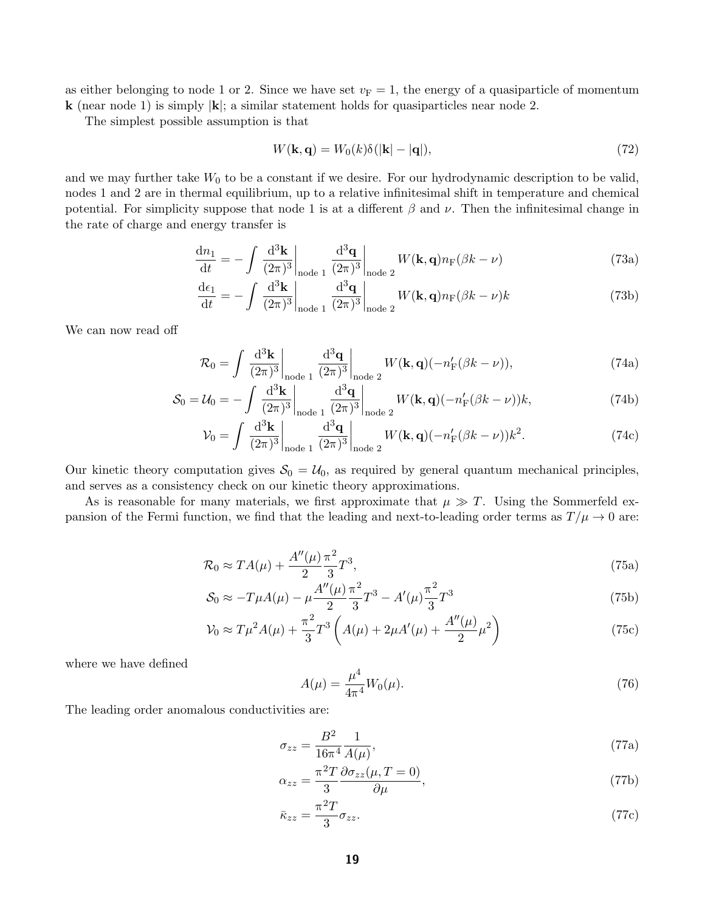as either belonging to node 1 or 2. Since we have set  $v_F = 1$ , the energy of a quasiparticle of momentum **k** (near node 1) is simply  $|\mathbf{k}|$ ; a similar statement holds for quasiparticles near node 2.

The simplest possible assumption is that

$$
W(\mathbf{k}, \mathbf{q}) = W_0(k)\delta(|\mathbf{k}| - |\mathbf{q}|),\tag{72}
$$

and we may further take  $W_0$  to be a constant if we desire. For our hydrodynamic description to be valid, nodes 1 and 2 are in thermal equilibrium, up to a relative infinitesimal shift in temperature and chemical potential. For simplicity suppose that node 1 is at a different  $\beta$  and  $\nu$ . Then the infinitesimal change in the rate of charge and energy transfer is

$$
\frac{\mathrm{d}n_1}{\mathrm{d}t} = -\int \left. \frac{\mathrm{d}^3 \mathbf{k}}{(2\pi)^3} \right|_{\text{node } 1} \frac{\mathrm{d}^3 \mathbf{q}}{(2\pi)^3} \bigg|_{\text{node } 2} W(\mathbf{k}, \mathbf{q}) n_{\text{F}}(\beta k - \nu) \tag{73a}
$$

$$
\frac{\mathrm{d}\epsilon_1}{\mathrm{d}t} = -\int \left. \frac{\mathrm{d}^3 \mathbf{k}}{(2\pi)^3} \right|_{\text{node }1} \frac{\mathrm{d}^3 \mathbf{q}}{(2\pi)^3} \right|_{\text{node }2} W(\mathbf{k}, \mathbf{q}) n_{\text{F}} (\beta k - \nu) k \tag{73b}
$$

We can now read off

$$
\mathcal{R}_0 = \int \left. \frac{\mathrm{d}^3 \mathbf{k}}{(2\pi)^3} \right|_{\text{node 1}} \left. \frac{\mathrm{d}^3 \mathbf{q}}{(2\pi)^3} \right|_{\text{node 2}} W(\mathbf{k}, \mathbf{q}) (-n'_{\text{F}}(\beta k - \nu)), \tag{74a}
$$

$$
S_0 = \mathcal{U}_0 = -\int \frac{\mathrm{d}^3 \mathbf{k}}{(2\pi)^3} \bigg|_{\text{node 1}} \frac{\mathrm{d}^3 \mathbf{q}}{(2\pi)^3} \bigg|_{\text{node 2}} W(\mathbf{k}, \mathbf{q}) (-n'_{\text{F}}(\beta k - \nu))k,
$$
(74b)

$$
\mathcal{V}_0 = \int \left. \frac{\mathrm{d}^3 \mathbf{k}}{(2\pi)^3} \right|_{\text{node 1}} \left. \frac{\mathrm{d}^3 \mathbf{q}}{(2\pi)^3} \right|_{\text{node 2}} W(\mathbf{k}, \mathbf{q}) (-n'_{\text{F}}(\beta k - \nu)) k^2.
$$
 (74c)

Our kinetic theory computation gives  $S_0 = U_0$ , as required by general quantum mechanical principles, and serves as a consistency check on our kinetic theory approximations.

As is reasonable for many materials, we first approximate that  $\mu \gg T$ . Using the Sommerfeld expansion of the Fermi function, we find that the leading and next-to-leading order terms as  $T/\mu \to 0$  are:

$$
\mathcal{R}_0 \approx T A(\mu) + \frac{A''(\mu)}{2} \frac{\pi^2}{3} T^3,\tag{75a}
$$

$$
S_0 \approx -T\mu A(\mu) - \mu \frac{A''(\mu)}{2} \frac{\pi^2}{3} T^3 - A'(\mu) \frac{\pi^2}{3} T^3
$$
\n(75b)

$$
\mathcal{V}_0 \approx T\mu^2 A(\mu) + \frac{\pi^2}{3} T^3 \left( A(\mu) + 2\mu A'(\mu) + \frac{A''(\mu)}{2} \mu^2 \right)
$$
(75c)

where we have defined

$$
A(\mu) = \frac{\mu^4}{4\pi^4} W_0(\mu).
$$
 (76)

The leading order anomalous conductivities are:

$$
\sigma_{zz} = \frac{B^2}{16\pi^4} \frac{1}{A(\mu)},\tag{77a}
$$

$$
\alpha_{zz} = \frac{\pi^2 T}{3} \frac{\partial \sigma_{zz}(\mu, T = 0)}{\partial \mu},\tag{77b}
$$

$$
\bar{\kappa}_{zz} = \frac{\pi^2 T}{3} \sigma_{zz}.
$$
\n(77c)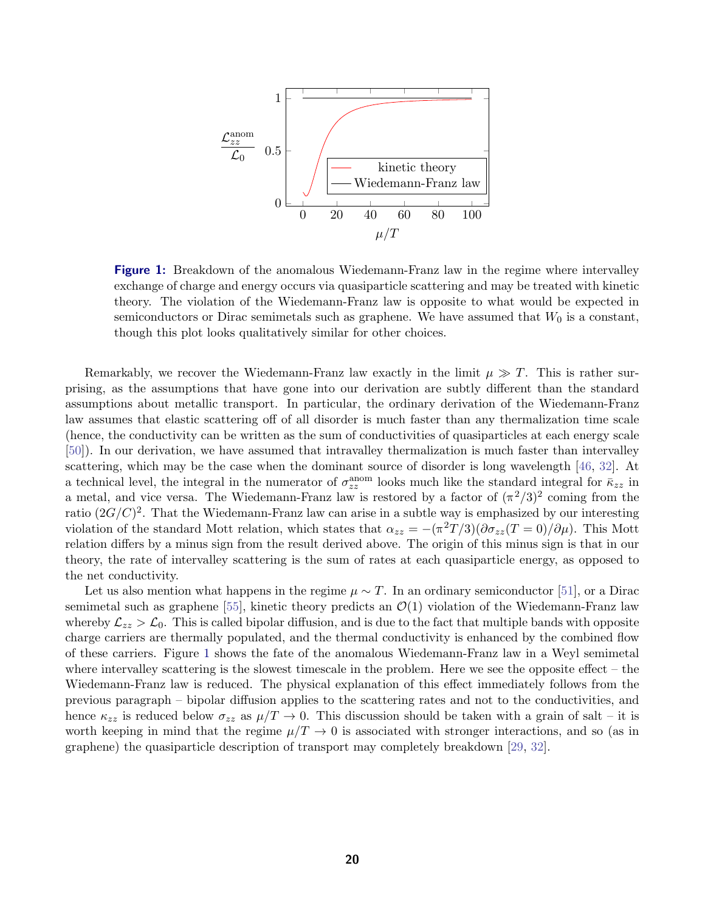<span id="page-19-1"></span>

**Figure 1:** Breakdown of the anomalous Wiedemann-Franz law in the regime where intervalley exchange of charge and energy occurs via quasiparticle scattering and may be treated with kinetic theory. The violation of the Wiedemann-Franz law is opposite to what would be expected in semiconductors or Dirac semimetals such as graphene. We have assumed that  $W_0$  is a constant, though this plot looks qualitatively similar for other choices.

Remarkably, we recover the Wiedemann-Franz law exactly in the limit  $\mu \gg T$ . This is rather surprising, as the assumptions that have gone into our derivation are subtly different than the standard assumptions about metallic transport. In particular, the ordinary derivation of the Wiedemann-Franz law assumes that elastic scattering off of all disorder is much faster than any thermalization time scale (hence, the conductivity can be written as the sum of conductivities of quasiparticles at each energy scale [\[50\]](#page-25-1)). In our derivation, we have assumed that intravalley thermalization is much faster than intervalley scattering, which may be the case when the dominant source of disorder is long wavelength [\[46,](#page-24-15) [32\]](#page-24-1). At a technical level, the integral in the numerator of  $\sigma_{zz}^{\text{anom}}$  looks much like the standard integral for  $\bar{k}_{zz}$  in a metal, and vice versa. The Wiedemann-Franz law is restored by a factor of  $(\pi^2/3)^2$  coming from the ratio  $(2G/C)^2$ . That the Wiedemann-Franz law can arise in a subtle way is emphasized by our interesting violation of the standard Mott relation, which states that  $\alpha_{zz} = -(\pi^2 T/3)(\partial \sigma_{zz}(T=0)/\partial \mu)$ . This Mott relation differs by a minus sign from the result derived above. The origin of this minus sign is that in our theory, the rate of intervalley scattering is the sum of rates at each quasiparticle energy, as opposed to the net conductivity.

<span id="page-19-0"></span>Let us also mention what happens in the regime  $\mu \sim T$ . In an ordinary semiconductor [\[51\]](#page-25-2), or a Dirac semimetal such as graphene [\[55\]](#page-25-6), kinetic theory predicts an  $\mathcal{O}(1)$  violation of the Wiedemann-Franz law whereby  $\mathcal{L}_{zz} > \mathcal{L}_0$ . This is called bipolar diffusion, and is due to the fact that multiple bands with opposite charge carriers are thermally populated, and the thermal conductivity is enhanced by the combined flow of these carriers. Figure [1](#page-19-1) shows the fate of the anomalous Wiedemann-Franz law in a Weyl semimetal where intervalley scattering is the slowest timescale in the problem. Here we see the opposite effect – the Wiedemann-Franz law is reduced. The physical explanation of this effect immediately follows from the previous paragraph – bipolar diffusion applies to the scattering rates and not to the conductivities, and hence  $\kappa_{zz}$  is reduced below  $\sigma_{zz}$  as  $\mu/T \to 0$ . This discussion should be taken with a grain of salt – it is worth keeping in mind that the regime  $\mu/T \to 0$  is associated with stronger interactions, and so (as in graphene) the quasiparticle description of transport may completely breakdown [\[29,](#page-23-15) [32\]](#page-24-1).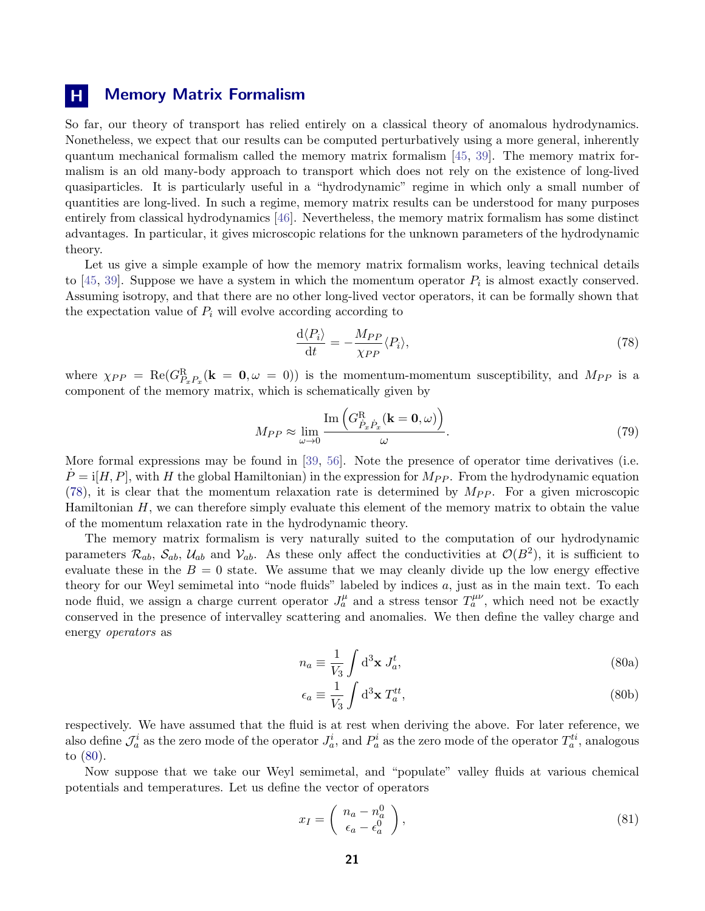# **H** Memory Matrix Formalism

So far, our theory of transport has relied entirely on a classical theory of anomalous hydrodynamics. Nonetheless, we expect that our results can be computed perturbatively using a more general, inherently quantum mechanical formalism called the memory matrix formalism [\[45,](#page-24-14) [39\]](#page-24-8). The memory matrix formalism is an old many-body approach to transport which does not rely on the existence of long-lived quasiparticles. It is particularly useful in a "hydrodynamic" regime in which only a small number of quantities are long-lived. In such a regime, memory matrix results can be understood for many purposes entirely from classical hydrodynamics [\[46\]](#page-24-15). Nevertheless, the memory matrix formalism has some distinct advantages. In particular, it gives microscopic relations for the unknown parameters of the hydrodynamic theory.

Let us give a simple example of how the memory matrix formalism works, leaving technical details to [\[45,](#page-24-14) [39\]](#page-24-8). Suppose we have a system in which the momentum operator  $P_i$  is almost exactly conserved. Assuming isotropy, and that there are no other long-lived vector operators, it can be formally shown that the expectation value of  $P_i$  will evolve according according to

<span id="page-20-0"></span>
$$
\frac{\mathrm{d}\langle P_i \rangle}{\mathrm{d}t} = -\frac{M_{PP}}{\chi_{PP}} \langle P_i \rangle,\tag{78}
$$

where  $\chi_{PP} = \text{Re}(G_{P_xP_x}^R(\mathbf{k} = \mathbf{0}, \omega = 0))$  is the momentum-momentum susceptibility, and  $M_{PP}$  is a component of the memory matrix, which is schematically given by

$$
M_{PP} \approx \lim_{\omega \to 0} \frac{\text{Im}\left(G_{\dot{P}_x \dot{P}_x}^{\text{R}}(\mathbf{k} = \mathbf{0}, \omega)\right)}{\omega}.
$$
\n(79)

More formal expressions may be found in [\[39,](#page-24-8) [56\]](#page-25-7). Note the presence of operator time derivatives (i.e.  $P = i[H, P]$ , with H the global Hamiltonian) in the expression for  $M_{PP}$ . From the hydrodynamic equation [\(78\)](#page-20-0), it is clear that the momentum relaxation rate is determined by  $M_{PP}$ . For a given microscopic Hamiltonian  $H$ , we can therefore simply evaluate this element of the memory matrix to obtain the value of the momentum relaxation rate in the hydrodynamic theory.

The memory matrix formalism is very naturally suited to the computation of our hydrodynamic parameters  $\mathcal{R}_{ab}$ ,  $\mathcal{S}_{ab}$ ,  $\mathcal{U}_{ab}$  and  $\mathcal{V}_{ab}$ . As these only affect the conductivities at  $\mathcal{O}(B^2)$ , it is sufficient to evaluate these in the  $B = 0$  state. We assume that we may cleanly divide up the low energy effective theory for our Weyl semimetal into "node fluids" labeled by indices a, just as in the main text. To each node fluid, we assign a charge current operator  $J_a^{\mu}$  and a stress tensor  $T_a^{\mu\nu}$ , which need not be exactly conserved in the presence of intervalley scattering and anomalies. We then define the valley charge and energy operators as

<span id="page-20-1"></span>
$$
n_a \equiv \frac{1}{V_3} \int \mathrm{d}^3 \mathbf{x} \ J_a^t,\tag{80a}
$$

$$
\epsilon_a \equiv \frac{1}{V_3} \int \mathrm{d}^3 \mathbf{x} \; T_a^{tt},\tag{80b}
$$

respectively. We have assumed that the fluid is at rest when deriving the above. For later reference, we also define  $\mathcal{J}_a^i$  as the zero mode of the operator  $J_a^i$ , and  $P_a^i$  as the zero mode of the operator  $T_a^{ti}$ , analogous to [\(80\)](#page-20-1).

Now suppose that we take our Weyl semimetal, and "populate" valley fluids at various chemical potentials and temperatures. Let us define the vector of operators

$$
x_I = \begin{pmatrix} n_a - n_a^0 \\ \epsilon_a - \epsilon_a^0 \end{pmatrix}, \tag{81}
$$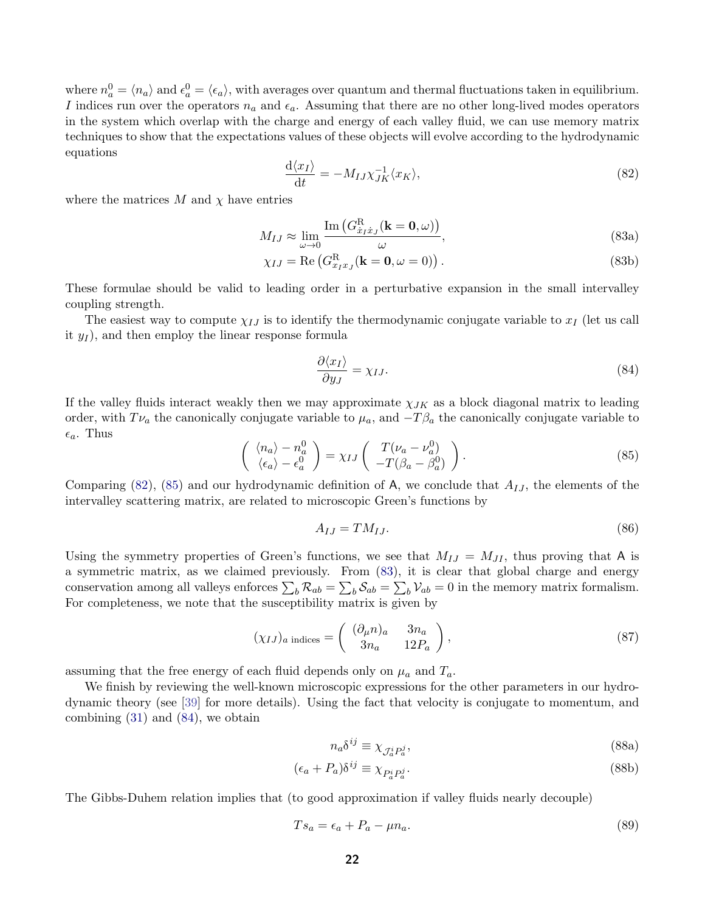where  $n_a^0 = \langle n_a \rangle$  and  $\epsilon_a^0 = \langle \epsilon_a \rangle$ , with averages over quantum and thermal fluctuations taken in equilibrium. I indices run over the operators  $n_a$  and  $\epsilon_a$ . Assuming that there are no other long-lived modes operators in the system which overlap with the charge and energy of each valley fluid, we can use memory matrix techniques to show that the expectations values of these objects will evolve according to the hydrodynamic equations

<span id="page-21-2"></span><span id="page-21-0"></span>
$$
\frac{\mathrm{d}\langle x_I \rangle}{\mathrm{d}t} = -M_{IJ} \chi_{JK}^{-1} \langle x_K \rangle,\tag{82}
$$

where the matrices  $M$  and  $\chi$  have entries

$$
M_{IJ} \approx \lim_{\omega \to 0} \frac{\text{Im}\left(G_{\dot{x}_I\dot{x}_J}^{\text{R}}(\mathbf{k} = \mathbf{0}, \omega)\right)}{\omega},\tag{83a}
$$

$$
\chi_{IJ} = \text{Re}\left(G_{x_I x_J}^{\text{R}}(\mathbf{k} = \mathbf{0}, \omega = 0)\right). \tag{83b}
$$

These formulae should be valid to leading order in a perturbative expansion in the small intervalley coupling strength.

The easiest way to compute  $\chi_{IJ}$  is to identify the thermodynamic conjugate variable to  $x_I$  (let us call it  $y_I$ ), and then employ the linear response formula

<span id="page-21-3"></span>
$$
\frac{\partial \langle x_I \rangle}{\partial y_J} = \chi_{IJ}.\tag{84}
$$

If the valley fluids interact weakly then we may approximate  $\chi_{JK}$  as a block diagonal matrix to leading order, with  $T_{\nu_a}$  the canonically conjugate variable to  $\mu_a$ , and  $-T\beta_a$  the canonically conjugate variable to  $\epsilon_a$ . Thus

<span id="page-21-1"></span>
$$
\begin{pmatrix} \langle n_a \rangle - n_a^0 \\ \langle \epsilon_a \rangle - \epsilon_a^0 \end{pmatrix} = \chi_{IJ} \begin{pmatrix} T(\nu_a - \nu_a^0) \\ -T(\beta_a - \beta_a^0) \end{pmatrix}.
$$
 (85)

Comparing [\(82\)](#page-21-0), [\(85\)](#page-21-1) and our hydrodynamic definition of A, we conclude that  $A_{IJ}$ , the elements of the intervalley scattering matrix, are related to microscopic Green's functions by

$$
A_{IJ} = TM_{IJ}.\tag{86}
$$

Using the symmetry properties of Green's functions, we see that  $M_{IJ} = M_{JI}$ , thus proving that A is a symmetric matrix, as we claimed previously. From [\(83\)](#page-21-2), it is clear that global charge and energy conservation among all valleys enforces  $\sum_b \mathcal{R}_{ab} = \sum_b \mathcal{S}_{ab} = \sum_b \mathcal{V}_{ab} = 0$  in the memory matrix formalism. For completeness, we note that the susceptibility matrix is given by

$$
(\chi_{IJ})_a \text{ indices} = \begin{pmatrix} (\partial_\mu n)_a & 3n_a \\ 3n_a & 12P_a \end{pmatrix},\tag{87}
$$

assuming that the free energy of each fluid depends only on  $\mu_a$  and  $T_a$ .

We finish by reviewing the well-known microscopic expressions for the other parameters in our hydrodynamic theory (see [\[39\]](#page-24-8) for more details). Using the fact that velocity is conjugate to momentum, and combining [\(31\)](#page-10-3) and [\(84\)](#page-21-3), we obtain

$$
n_a \delta^{ij} \equiv \chi_{\mathcal{J}_a^i P_a^j},\tag{88a}
$$

$$
(\epsilon_a + P_a)\delta^{ij} \equiv \chi_{P_a^i P_a^j}.\tag{88b}
$$

The Gibbs-Duhem relation implies that (to good approximation if valley fluids nearly decouple)

$$
Ts_a = \epsilon_a + P_a - \mu n_a. \tag{89}
$$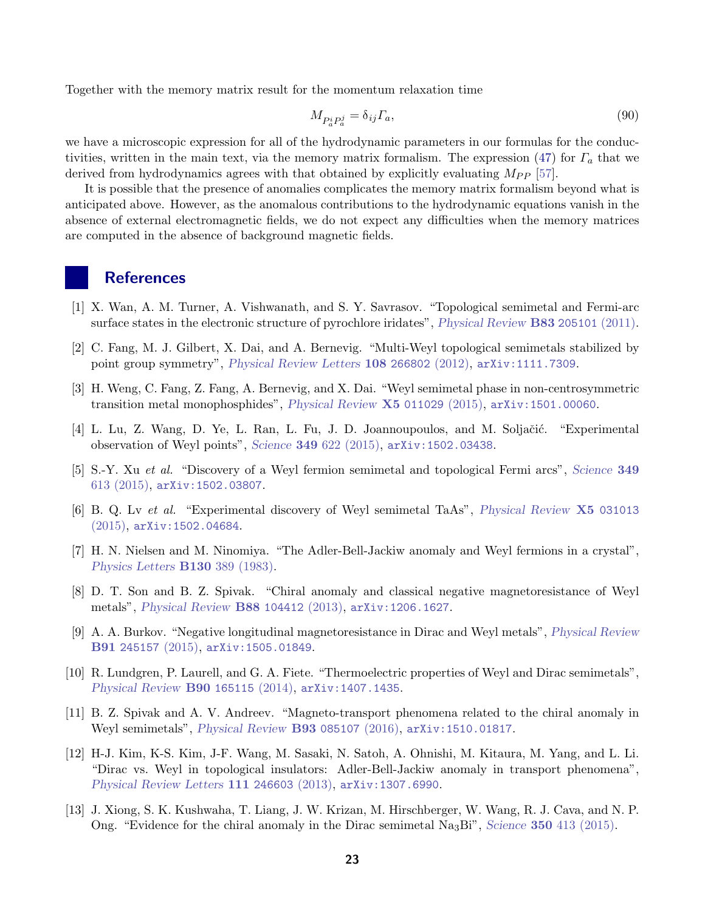Together with the memory matrix result for the momentum relaxation time

<span id="page-22-0"></span>
$$
M_{P_a^i P_a^j} = \delta_{ij} \Gamma_a,\tag{90}
$$

we have a microscopic expression for all of the hydrodynamic parameters in our formulas for the conduc-tivities, written in the main text, via the memory matrix formalism. The expression [\(47\)](#page-12-3) for  $\Gamma_a$  that we derived from hydrodynamics agrees with that obtained by explicitly evaluating  $M_{PP}$  [\[57\]](#page-25-8).

It is possible that the presence of anomalies complicates the memory matrix formalism beyond what is anticipated above. However, as the anomalous contributions to the hydrodynamic equations vanish in the absence of external electromagnetic fields, we do not expect any difficulties when the memory matrices are computed in the absence of background magnetic fields.

### **References**

- <span id="page-22-1"></span>[1] X. Wan, A. M. Turner, A. Vishwanath, and S. Y. Savrasov. "Topological semimetal and Fermi-arc surface states in the electronic structure of pyrochlore iridates", [Physical Review](http://journals.aps.org/prb/abstract/10.1103/PhysRevB.83.205101) B83 205101 (2011).
- <span id="page-22-2"></span>[2] C. Fang, M. J. Gilbert, X. Dai, and A. Bernevig. "Multi-Weyl topological semimetals stabilized by point group symmetry", [Physical Review Letters](http://journals.aps.org/prl/abstract/10.1103/PhysRevLett.108.266802) 108 266802 (2012), [arXiv:1111.7309](http://arxiv.org/abs/1111.7309).
- <span id="page-22-3"></span>[3] H. Weng, C. Fang, Z. Fang, A. Bernevig, and X. Dai. "Weyl semimetal phase in non-centrosymmetric transition metal monophosphides", [Physical Review](http://journals.aps.org/prx/abstract/10.1103/PhysRevX.5.011029) X5 011029 (2015), [arXiv:1501.00060](http://arxiv.org/abs/1501.00060).
- <span id="page-22-4"></span>[4] L. Lu, Z. Wang, D. Ye, L. Ran, L. Fu, J. D. Joannoupoulos, and M. Soljačić. "Experimental observation of Weyl points", Science 349 [622 \(2015\),](http://www.sciencemag.org/content/349/6248/622) [arXiv:1502.03438](http://arxiv.org/abs/1502.03438).
- <span id="page-22-5"></span>[5] S.-Y. Xu et al. "Discovery of a Weyl fermion semimetal and topological Fermi arcs", [Science](http://www.sciencemag.org/content/349/6248/613) 349 [613 \(2015\),](http://www.sciencemag.org/content/349/6248/613) [arXiv:1502.03807](http://arxiv.org/abs/1502.03807).
- <span id="page-22-6"></span>[6] B. Q. Lv et al. "Experimental discovery of Weyl semimetal TaAs", [Physical Review](http://journals.aps.org/prx/abstract/10.1103/PhysRevX.5.031013) X5 031013 [\(2015\),](http://journals.aps.org/prx/abstract/10.1103/PhysRevX.5.031013) [arXiv:1502.04684](http://arxiv.org/abs/1502.04684).
- <span id="page-22-7"></span>[7] H. N. Nielsen and M. Ninomiya. "The Adler-Bell-Jackiw anomaly and Weyl fermions in a crystal", [Physics Letters](http://www.sciencedirect.com/science/article/pii/0370269383915290) B130 389 (1983).
- <span id="page-22-8"></span>[8] D. T. Son and B. Z. Spivak. "Chiral anomaly and classical negative magnetoresistance of Weyl metals", [Physical Review](http://journals.aps.org/prb/abstract/10.1103/PhysRevB.88.104412) B88 104412 (2013), [arXiv:1206.1627](http://arxiv.org/abs/1206.1627).
- <span id="page-22-9"></span>[9] A. A. Burkov. "Negative longitudinal magnetoresistance in Dirac and Weyl metals", [Physical Review](http://journals.aps.org/prb/abstract/10.1103/PhysRevB.91.245157) B91 [245157](http://journals.aps.org/prb/abstract/10.1103/PhysRevB.91.245157) (2015), [arXiv:1505.01849](http://arxiv.org/abs/1505.01849).
- <span id="page-22-10"></span>[10] R. Lundgren, P. Laurell, and G. A. Fiete. "Thermoelectric properties of Weyl and Dirac semimetals", [Physical Review](http://journals.aps.org/prb/abstract/10.1103/PhysRevB.90.165115) B90 165115 (2014), [arXiv:1407.1435](http://arxiv.org/abs/1407.1435).
- <span id="page-22-11"></span>[11] B. Z. Spivak and A. V. Andreev. "Magneto-transport phenomena related to the chiral anomaly in Weyl semimetals", [Physical Review](http://journals.aps.org/prb/abstract/10.1103/PhysRevB.93.085107) B93 085107 (2016), [arXiv:1510.01817](http://arxiv.org/abs/1510.01817).
- <span id="page-22-12"></span>[12] H-J. Kim, K-S. Kim, J-F. Wang, M. Sasaki, N. Satoh, A. Ohnishi, M. Kitaura, M. Yang, and L. Li. "Dirac vs. Weyl in topological insulators: Adler-Bell-Jackiw anomaly in transport phenomena", [Physical Review Letters](http://journals.aps.org/prl/abstract/10.1103/PhysRevLett.111.246603) 111 246603 (2013), [arXiv:1307.6990](http://arxiv.org/abs/1307.6990).
- <span id="page-22-13"></span>[13] J. Xiong, S. K. Kushwaha, T. Liang, J. W. Krizan, M. Hirschberger, W. Wang, R. J. Cava, and N. P. Ong. "Evidence for the chiral anomaly in the Dirac semimetal  $N_{a3}$ Bi", Science 350 [413 \(2015\).](http://science.sciencemag.org/content/350/6259/413)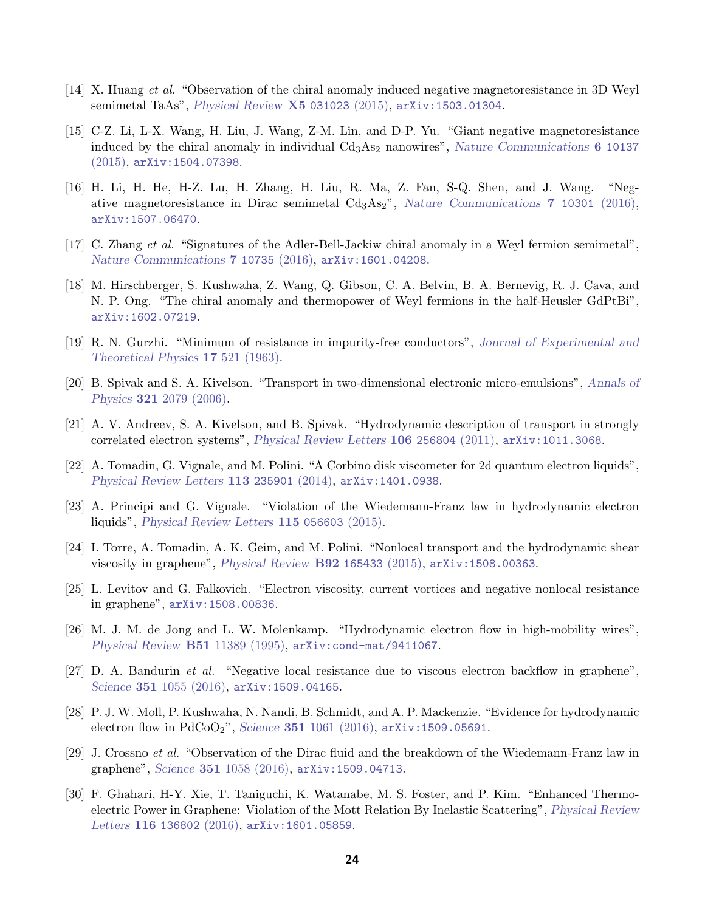- <span id="page-23-0"></span>[14] X. Huang et al. "Observation of the chiral anomaly induced negative magnetoresistance in 3D Weyl semimetal TaAs", [Physical Review](http://journals.aps.org/prx/abstract/10.1103/PhysRevX.5.031023) X5 031023 (2015), [arXiv:1503.01304](http://arxiv.org/abs/1503.01304).
- <span id="page-23-1"></span>[15] C-Z. Li, L-X. Wang, H. Liu, J. Wang, Z-M. Lin, and D-P. Yu. "Giant negative magnetoresistance induced by the chiral anomaly in individual  $Cd<sub>3</sub>As<sub>2</sub>$  nanowires", [Nature Communications](http://www.nature.com/ncomms/2015/151217/ncomms10137/full/ncomms10137.html) 6 10137 [\(2015\),](http://www.nature.com/ncomms/2015/151217/ncomms10137/full/ncomms10137.html) [arXiv:1504.07398](http://arxiv.org/abs/1504.07398).
- <span id="page-23-2"></span>[16] H. Li, H. He, H-Z. Lu, H. Zhang, H. Liu, R. Ma, Z. Fan, S-Q. Shen, and J. Wang. "Negative magnetoresistance in Dirac semimetal  $Cd_3As_2$ ", [Nature Communications](http://www.nature.com/ncomms/2016/160108/ncomms10301/full/ncomms10301.html) 7 10301 (2016), [arXiv:1507.06470](http://arxiv.org/abs/1507.06470).
- <span id="page-23-3"></span>[17] C. Zhang et al. "Signatures of the Adler-Bell-Jackiw chiral anomaly in a Weyl fermion semimetal", [Nature Communications](http://www.nature.com/ncomms/2016/160225/ncomms10735/full/ncomms10735.html) 7 10735 (2016), [arXiv:1601.04208](http://arxiv.org/abs/1601.04208).
- <span id="page-23-4"></span>[18] M. Hirschberger, S. Kushwaha, Z. Wang, Q. Gibson, C. A. Belvin, B. A. Bernevig, R. J. Cava, and N. P. Ong. "The chiral anomaly and thermopower of Weyl fermions in the half-Heusler GdPtBi", [arXiv:1602.07219](http://arxiv.org/abs/1602.07219).
- <span id="page-23-5"></span>[19] R. N. Gurzhi. "Minimum of resistance in impurity-free conductors", [Journal of Experimental and](http://www.jetp.ac.ru/cgi-bin/e/index/e/17/2/p521?a=list) [Theoretical Physics](http://www.jetp.ac.ru/cgi-bin/e/index/e/17/2/p521?a=list) 17 521 (1963).
- <span id="page-23-6"></span>[20] B. Spivak and S. A. Kivelson. "Transport in two-dimensional electronic micro-emulsions", [Annals of](http://www.sciencedirect.com/science/article/pii/S0003491605002654) Physics 321 [2079 \(2006\).](http://www.sciencedirect.com/science/article/pii/S0003491605002654)
- <span id="page-23-7"></span>[21] A. V. Andreev, S. A. Kivelson, and B. Spivak. "Hydrodynamic description of transport in strongly correlated electron systems", [Physical Review Letters](http://journals.aps.org/prl/abstract/10.1103/PhysRevLett.106.256804) 106 256804 (2011), [arXiv:1011.3068](http://arxiv.org/abs/1011.3068).
- <span id="page-23-8"></span>[22] A. Tomadin, G. Vignale, and M. Polini. "A Corbino disk viscometer for 2d quantum electron liquids", [Physical Review Letters](http://journals.aps.org/prl/abstract/10.1103/PhysRevLett.113.235901) 113 235901 (2014), [arXiv:1401.0938](http://arxiv.org/abs/1401.0938).
- <span id="page-23-9"></span>[23] A. Principi and G. Vignale. "Violation of the Wiedemann-Franz law in hydrodynamic electron liquids", [Physical Review Letters](http://journals.aps.org/prl/abstract/10.1103/PhysRevLett.115.056603) 115 056603 (2015).
- <span id="page-23-10"></span>[24] I. Torre, A. Tomadin, A. K. Geim, and M. Polini. "Nonlocal transport and the hydrodynamic shear viscosity in graphene", [Physical Review](http://journals.aps.org/prb/abstract/10.1103/PhysRevB.92.165433) B92 165433 (2015), [arXiv:1508.00363](http://arxiv.org/abs/1508.00363).
- <span id="page-23-11"></span>[25] L. Levitov and G. Falkovich. "Electron viscosity, current vortices and negative nonlocal resistance in graphene", [arXiv:1508.00836](http://arxiv.org/abs/1508.00836).
- <span id="page-23-12"></span>[26] M. J. M. de Jong and L. W. Molenkamp. "Hydrodynamic electron flow in high-mobility wires", [Physical Review](http://journals.aps.org/prb/abstract/10.1103/PhysRevB.51.13389) B51 11389 (1995), [arXiv:cond-mat/9411067](http://arxiv.org/abs/cond-mat/9411067).
- <span id="page-23-13"></span>[27] D. A. Bandurin et al. "Negative local resistance due to viscous electron backflow in graphene", Science **351** [1055 \(2016\),](http://science.sciencemag.org/content/351/6277/1055.long) [arXiv:1509.04165](http://arxiv.org/abs/1509.04165).
- <span id="page-23-14"></span>[28] P. J. W. Moll, P. Kushwaha, N. Nandi, B. Schmidt, and A. P. Mackenzie. "Evidence for hydrodynamic electron flow in  $PdCoO<sub>2</sub>$ ", Science 351 [1061 \(2016\),](http://science.sciencemag.org/content/351/6277/1061) [arXiv:1509.05691](http://arxiv.org/abs/1509.05691).
- <span id="page-23-15"></span>[29] J. Crossno et al. "Observation of the Dirac fluid and the breakdown of the Wiedemann-Franz law in graphene", Science 351 [1058 \(2016\),](http://science.sciencemag.org/content/351/6277/1058) [arXiv:1509.04713](http://arxiv.org/abs/1509.04713).
- <span id="page-23-16"></span>[30] F. Ghahari, H-Y. Xie, T. Taniguchi, K. Watanabe, M. S. Foster, and P. Kim. "Enhanced Thermoelectric Power in Graphene: Violation of the Mott Relation By Inelastic Scattering", [Physical Review](http://journals.aps.org/prl/abstract/10.1103/PhysRevLett.116.136802) Letters 116 [136802](http://journals.aps.org/prl/abstract/10.1103/PhysRevLett.116.136802)  $(2016)$ , [arXiv:1601.05859](http://arxiv.org/abs/1601.05859).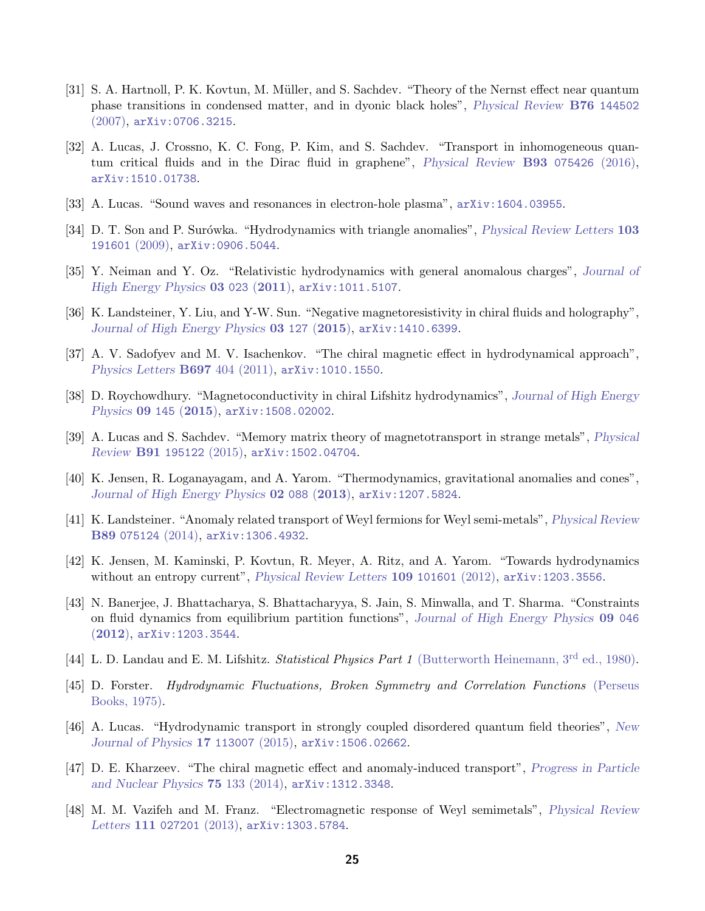- <span id="page-24-0"></span>[31] S. A. Hartnoll, P. K. Kovtun, M. M¨uller, and S. Sachdev. "Theory of the Nernst effect near quantum phase transitions in condensed matter, and in dyonic black holes", [Physical Review](http://journals.aps.org/prb/abstract/10.1103/PhysRevB.76.144502) B76 144502 [\(2007\),](http://journals.aps.org/prb/abstract/10.1103/PhysRevB.76.144502) [arXiv:0706.3215](http://arxiv.org/abs/0706.3215).
- <span id="page-24-1"></span>[32] A. Lucas, J. Crossno, K. C. Fong, P. Kim, and S. Sachdev. "Transport in inhomogeneous quantum critical fluids and in the Dirac fluid in graphene", [Physical Review](http://journals.aps.org/prb/abstract/10.1103/PhysRevB.93.075426) B93 075426 (2016), [arXiv:1510.01738](http://arxiv.org/abs/1510.01738).
- <span id="page-24-2"></span>[33] A. Lucas. "Sound waves and resonances in electron-hole plasma", [arXiv:1604.03955](http://arxiv.org/abs/1604.03955).
- <span id="page-24-3"></span>[34] D. T. Son and P. Surówka. "Hydrodynamics with triangle anomalies", *[Physical Review Letters](http://journals.aps.org/prl/abstract/10.1103/PhysRevLett.103.191601)* 103 [191601](http://journals.aps.org/prl/abstract/10.1103/PhysRevLett.103.191601) (2009), [arXiv:0906.5044](http://arxiv.org/abs/0906.5044).
- <span id="page-24-4"></span>[35] Y. Neiman and Y. Oz. "Relativistic hydrodynamics with general anomalous charges", [Journal of](http://link.springer.com/article/10.1007%2FJHEP03%282011%29023) [High Energy Physics](http://link.springer.com/article/10.1007%2FJHEP03%282011%29023) 03 023 (2011), [arXiv:1011.5107](http://arxiv.org/abs/1011.5107).
- <span id="page-24-5"></span>[36] K. Landsteiner, Y. Liu, and Y-W. Sun. "Negative magnetoresistivity in chiral fluids and holography", [Journal of High Energy Physics](http://link.springer.com/article/10.1007%2FJHEP09%282015%29090) 03 127 (2015), [arXiv:1410.6399](http://arxiv.org/abs/1410.6399).
- <span id="page-24-6"></span>[37] A. V. Sadofyev and M. V. Isachenkov. "The chiral magnetic effect in hydrodynamical approach", [Physics Letters](http://www.sciencedirect.com/science/article/pii/S0370269311001869) B697 404 (2011), [arXiv:1010.1550](http://arxiv.org/abs/1010.1550).
- <span id="page-24-7"></span>[38] D. Roychowdhury. "Magnetoconductivity in chiral Lifshitz hydrodynamics", [Journal of High Energy](http://link.springer.com/article/10.1007%2FJHEP09%282015%29145) [Physics](http://link.springer.com/article/10.1007%2FJHEP09%282015%29145) 09 145 (2015), [arXiv:1508.02002](http://arxiv.org/abs/1508.02002).
- <span id="page-24-8"></span>[39] A. Lucas and S. Sachdev. "Memory matrix theory of magnetotransport in strange metals", [Physical](http://journals.aps.org/prb/abstract/10.1103/PhysRevB.91.195122) [Review](http://journals.aps.org/prb/abstract/10.1103/PhysRevB.91.195122) B91 195122 (2015), [arXiv:1502.04704](http://arxiv.org/abs/1502.04704).
- <span id="page-24-9"></span>[40] K. Jensen, R. Loganayagam, and A. Yarom. "Thermodynamics, gravitational anomalies and cones", [Journal of High Energy Physics](http://link.springer.com/article/10.1007%2FJHEP03%282011%29023) 02 088 (2013), [arXiv:1207.5824](http://arxiv.org/abs/1207.5824).
- <span id="page-24-10"></span>[41] K. Landsteiner. "Anomaly related transport of Weyl fermions for Weyl semi-metals", [Physical Review](http://journals.aps.org/prb/abstract/10.1103/PhysRevB.89.075124) B89 [075124](http://journals.aps.org/prb/abstract/10.1103/PhysRevB.89.075124) (2014), [arXiv:1306.4932](http://arxiv.org/abs/1306.4932).
- <span id="page-24-11"></span>[42] K. Jensen, M. Kaminski, P. Kovtun, R. Meyer, A. Ritz, and A. Yarom. "Towards hydrodynamics without an entropy current", *[Physical Review Letters](http://journals.aps.org/prl/abstract/10.1103/PhysRevLett.109.101601)* 109 101601  $(2012)$ ,  $arXiv:1203.3556$ .
- <span id="page-24-12"></span>[43] N. Banerjee, J. Bhattacharya, S. Bhattacharyya, S. Jain, S. Minwalla, and T. Sharma. "Constraints on fluid dynamics from equilibrium partition functions", [Journal of High Energy Physics](http://link.springer.com/article/10.1007%2FJHEP09%282012%29046) 09 046 ([2012](http://link.springer.com/article/10.1007%2FJHEP09%282012%29046)), [arXiv:1203.3544](http://arxiv.org/abs/1203.3544).
- <span id="page-24-13"></span>[44] L. D. Landau and E. M. Lifshitz. Statistical Physics Part 1 [\(Butterworth Heinemann, 3](http://www.amazon.com/Statistical-Physics-Third-Part-Theoretical/dp/0750633727/ref=sr_1_1?ie=UTF8&qid=1460470916&sr=8-1&keywords=landau+statistical+physics)<sup>rd</sup> ed., 1980).
- <span id="page-24-14"></span>[45] D. Forster. Hydrodynamic Fluctuations, Broken Symmetry and Correlation Functions [\(Perseus](http://www.amazon.com/Hydrodynamic-Fluctuations-Symmetry-Correlation-Functions/dp/0201410494/ref=sr_1_1?ie=UTF8&qid=1418231940&sr=8-1&keywords=hydrodynamic+fluctuations+broken+symmetry+and+correlation+functions&pebp=1418231941724) [Books, 1975\).](http://www.amazon.com/Hydrodynamic-Fluctuations-Symmetry-Correlation-Functions/dp/0201410494/ref=sr_1_1?ie=UTF8&qid=1418231940&sr=8-1&keywords=hydrodynamic+fluctuations+broken+symmetry+and+correlation+functions&pebp=1418231941724)
- <span id="page-24-15"></span>[46] A. Lucas. "Hydrodynamic transport in strongly coupled disordered quantum field theories", [New](http://iopscience.iop.org/article/10.1088/1367-2630/17/11/113007/meta) [Journal of Physics](http://iopscience.iop.org/article/10.1088/1367-2630/17/11/113007/meta) 17 113007 (2015), [arXiv:1506.02662](http://arxiv.org/abs/1506.02662).
- <span id="page-24-16"></span>[47] D. E. Kharzeev. "The chiral magnetic effect and anomaly-induced transport", [Progress in Particle](http://www.sciencedirect.com/science/article/pii/S0146641014000039) [and Nuclear Physics](http://www.sciencedirect.com/science/article/pii/S0146641014000039) 75 133 (2014), [arXiv:1312.3348](http://arxiv.org/abs/1312.3348).
- <span id="page-24-17"></span>[48] M. M. Vazifeh and M. Franz. "Electromagnetic response of Weyl semimetals", [Physical Review](http://journals.aps.org/prl/abstract/10.1103/PhysRevLett.111.027201) Letters 111 [027201](http://journals.aps.org/prl/abstract/10.1103/PhysRevLett.111.027201) (2013), [arXiv:1303.5784](http://arxiv.org/abs/1303.5784).